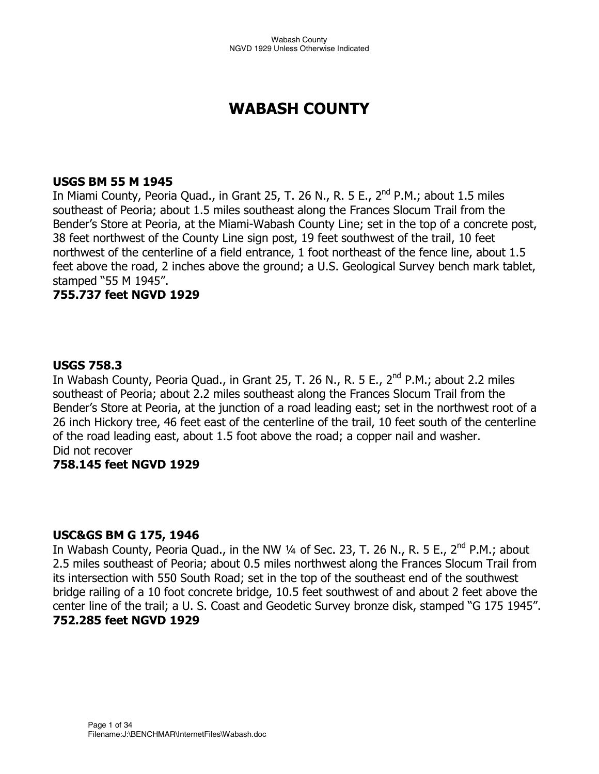# **WABASH COUNTY**

#### **USGS BM 55 M 1945**

In Miami County, Peoria Quad., in Grant 25, T. 26 N., R. 5 E., 2<sup>nd</sup> P.M.; about 1.5 miles southeast of Peoria; about 1.5 miles southeast along the Frances Slocum Trail from the Bender's Store at Peoria, at the Miami-Wabash County Line; set in the top of a concrete post, 38 feet northwest of the County Line sign post, 19 feet southwest of the trail, 10 feet northwest of the centerline of a field entrance, 1 foot northeast of the fence line, about 1.5 feet above the road, 2 inches above the ground; a U.S. Geological Survey bench mark tablet, stamped "55 M 1945".

## **755.737 feet NGVD 1929**

## **USGS 758.3**

In Wabash County, Peoria Quad., in Grant 25, T. 26 N., R. 5 E., 2<sup>nd</sup> P.M.; about 2.2 miles southeast of Peoria; about 2.2 miles southeast along the Frances Slocum Trail from the Bender's Store at Peoria, at the junction of a road leading east; set in the northwest root of a 26 inch Hickory tree, 46 feet east of the centerline of the trail, 10 feet south of the centerline of the road leading east, about 1.5 foot above the road; a copper nail and washer. Did not recover

## **758.145 feet NGVD 1929**

#### **USC&GS BM G 175, 1946**

In Wabash County, Peoria Quad., in the NW  $\frac{1}{4}$  of Sec. 23, T. 26 N., R. 5 E., 2<sup>nd</sup> P.M.; about 2.5 miles southeast of Peoria; about 0.5 miles northwest along the Frances Slocum Trail from its intersection with 550 South Road; set in the top of the southeast end of the southwest bridge railing of a 10 foot concrete bridge, 10.5 feet southwest of and about 2 feet above the center line of the trail; a U. S. Coast and Geodetic Survey bronze disk, stamped "G 175 1945". **752.285 feet NGVD 1929**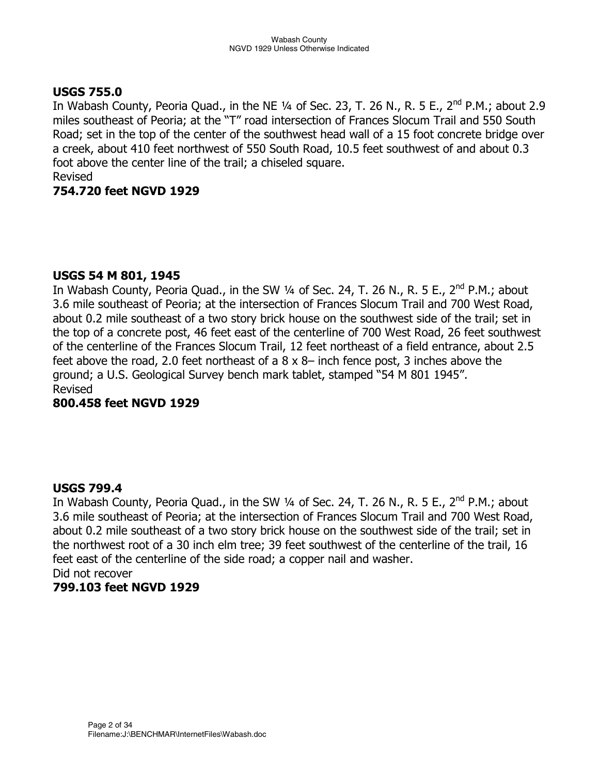## **USGS 755.0**

In Wabash County, Peoria Quad., in the NE  $\frac{1}{4}$  of Sec. 23, T. 26 N., R. 5 E., 2<sup>nd</sup> P.M.; about 2.9 miles southeast of Peoria; at the "T" road intersection of Frances Slocum Trail and 550 South Road; set in the top of the center of the southwest head wall of a 15 foot concrete bridge over a creek, about 410 feet northwest of 550 South Road, 10.5 feet southwest of and about 0.3 foot above the center line of the trail; a chiseled square. Revised

## **754.720 feet NGVD 1929**

## **USGS 54 M 801, 1945**

In Wabash County, Peoria Quad., in the SW  $\frac{1}{4}$  of Sec. 24, T. 26 N., R. 5 E., 2<sup>nd</sup> P.M.; about 3.6 mile southeast of Peoria; at the intersection of Frances Slocum Trail and 700 West Road, about 0.2 mile southeast of a two story brick house on the southwest side of the trail; set in the top of a concrete post, 46 feet east of the centerline of 700 West Road, 26 feet southwest of the centerline of the Frances Slocum Trail, 12 feet northeast of a field entrance, about 2.5 feet above the road, 2.0 feet northeast of a 8 x 8– inch fence post, 3 inches above the ground; a U.S. Geological Survey bench mark tablet, stamped "54 M 801 1945". Revised

#### **800.458 feet NGVD 1929**

## **USGS 799.4**

In Wabash County, Peoria Quad., in the SW 1/4 of Sec. 24, T. 26 N., R. 5 E., 2<sup>nd</sup> P.M.; about 3.6 mile southeast of Peoria; at the intersection of Frances Slocum Trail and 700 West Road, about 0.2 mile southeast of a two story brick house on the southwest side of the trail; set in the northwest root of a 30 inch elm tree; 39 feet southwest of the centerline of the trail, 16 feet east of the centerline of the side road; a copper nail and washer. Did not recover

## **799.103 feet NGVD 1929**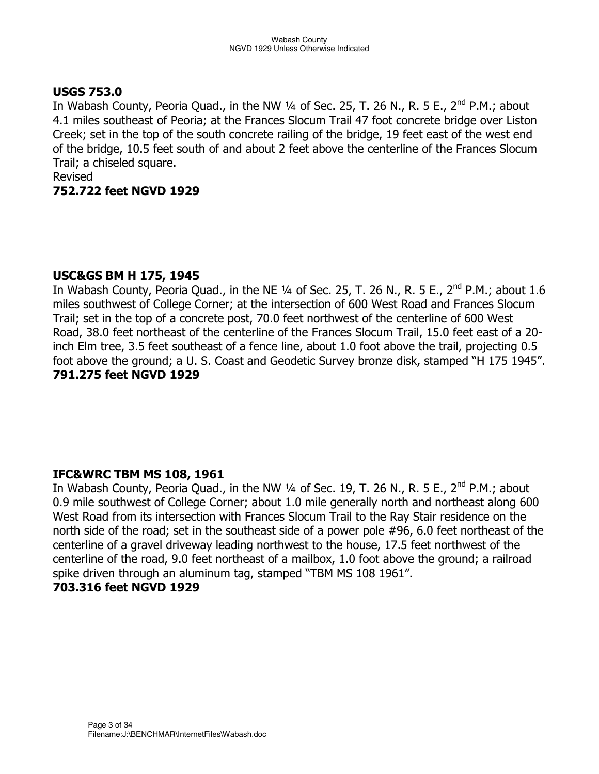## **USGS 753.0**

In Wabash County, Peoria Quad., in the NW  $\frac{1}{4}$  of Sec. 25, T. 26 N., R. 5 E., 2<sup>nd</sup> P.M.; about 4.1 miles southeast of Peoria; at the Frances Slocum Trail 47 foot concrete bridge over Liston Creek; set in the top of the south concrete railing of the bridge, 19 feet east of the west end of the bridge, 10.5 feet south of and about 2 feet above the centerline of the Frances Slocum Trail; a chiseled square.

## Revised

#### **752.722 feet NGVD 1929**

#### **USC&GS BM H 175, 1945**

In Wabash County, Peoria Quad., in the NE  $\frac{1}{4}$  of Sec. 25, T. 26 N., R. 5 E., 2<sup>nd</sup> P.M.; about 1.6 miles southwest of College Corner; at the intersection of 600 West Road and Frances Slocum Trail; set in the top of a concrete post, 70.0 feet northwest of the centerline of 600 West Road, 38.0 feet northeast of the centerline of the Frances Slocum Trail, 15.0 feet east of a 20 inch Elm tree, 3.5 feet southeast of a fence line, about 1.0 foot above the trail, projecting 0.5 foot above the ground; a U. S. Coast and Geodetic Survey bronze disk, stamped "H 175 1945". **791.275 feet NGVD 1929** 

#### **IFC&WRC TBM MS 108, 1961**

In Wabash County, Peoria Quad., in the NW  $\frac{1}{4}$  of Sec. 19, T. 26 N., R. 5 E., 2<sup>nd</sup> P.M.; about 0.9 mile southwest of College Corner; about 1.0 mile generally north and northeast along 600 West Road from its intersection with Frances Slocum Trail to the Ray Stair residence on the north side of the road; set in the southeast side of a power pole #96, 6.0 feet northeast of the centerline of a gravel driveway leading northwest to the house, 17.5 feet northwest of the centerline of the road, 9.0 feet northeast of a mailbox, 1.0 foot above the ground; a railroad spike driven through an aluminum tag, stamped "TBM MS 108 1961". **703.316 feet NGVD 1929**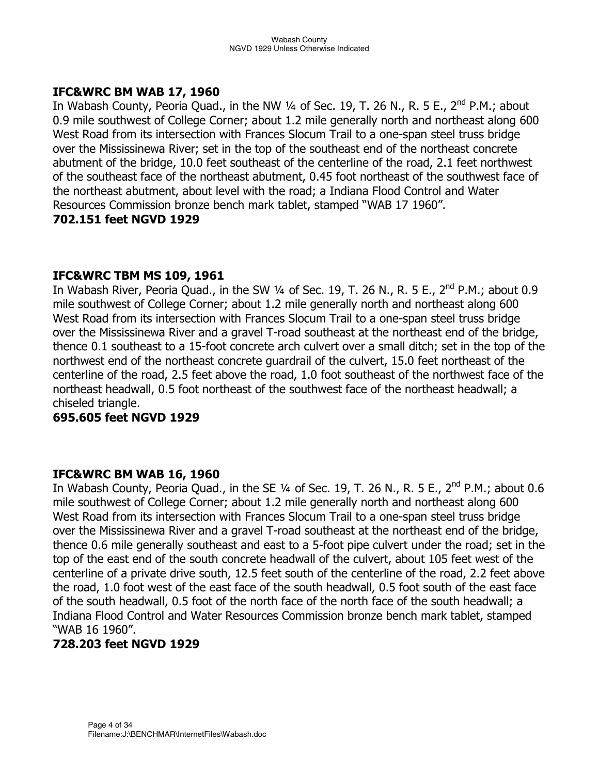## **IFC&WRC BM WAB 17, 1960**

In Wabash County, Peoria Quad., in the NW  $\frac{1}{4}$  of Sec. 19, T. 26 N., R. 5 E., 2<sup>nd</sup> P.M.; about 0.9 mile southwest of College Corner; about 1.2 mile generally north and northeast along 600 West Road from its intersection with Frances Slocum Trail to a one-span steel truss bridge over the Mississinewa River; set in the top of the southeast end of the northeast concrete abutment of the bridge, 10.0 feet southeast of the centerline of the road, 2.1 feet northwest of the southeast face of the northeast abutment, 0.45 foot northeast of the southwest face of the northeast abutment, about level with the road; a Indiana Flood Control and Water Resources Commission bronze bench mark tablet, stamped "WAB 17 1960".

#### **702.151 feet NGVD 1929**

## **IFC&WRC TBM MS 109, 1961**

In Wabash River, Peoria Quad., in the SW  $\frac{1}{4}$  of Sec. 19, T. 26 N., R. 5 E., 2<sup>nd</sup> P.M.; about 0.9 mile southwest of College Corner; about 1.2 mile generally north and northeast along 600 West Road from its intersection with Frances Slocum Trail to a one-span steel truss bridge over the Mississinewa River and a gravel T-road southeast at the northeast end of the bridge, thence 0.1 southeast to a 15-foot concrete arch culvert over a small ditch; set in the top of the northwest end of the northeast concrete guardrail of the culvert, 15.0 feet northeast of the centerline of the road, 2.5 feet above the road, 1.0 foot southeast of the northwest face of the northeast headwall, 0.5 foot northeast of the southwest face of the northeast headwall; a chiseled triangle.

#### **695.605 feet NGVD 1929**

## **IFC&WRC BM WAB 16, 1960**

In Wabash County, Peoria Quad., in the SE  $\frac{1}{4}$  of Sec. 19, T. 26 N., R. 5 E., 2<sup>nd</sup> P.M.; about 0.6 mile southwest of College Corner; about 1.2 mile generally north and northeast along 600 West Road from its intersection with Frances Slocum Trail to a one-span steel truss bridge over the Mississinewa River and a gravel T-road southeast at the northeast end of the bridge, thence 0.6 mile generally southeast and east to a 5-foot pipe culvert under the road; set in the top of the east end of the south concrete headwall of the culvert, about 105 feet west of the centerline of a private drive south, 12.5 feet south of the centerline of the road, 2.2 feet above the road, 1.0 foot west of the east face of the south headwall, 0.5 foot south of the east face of the south headwall, 0.5 foot of the north face of the north face of the south headwall; a Indiana Flood Control and Water Resources Commission bronze bench mark tablet, stamped "WAB 16 1960".

## **728.203 feet NGVD 1929**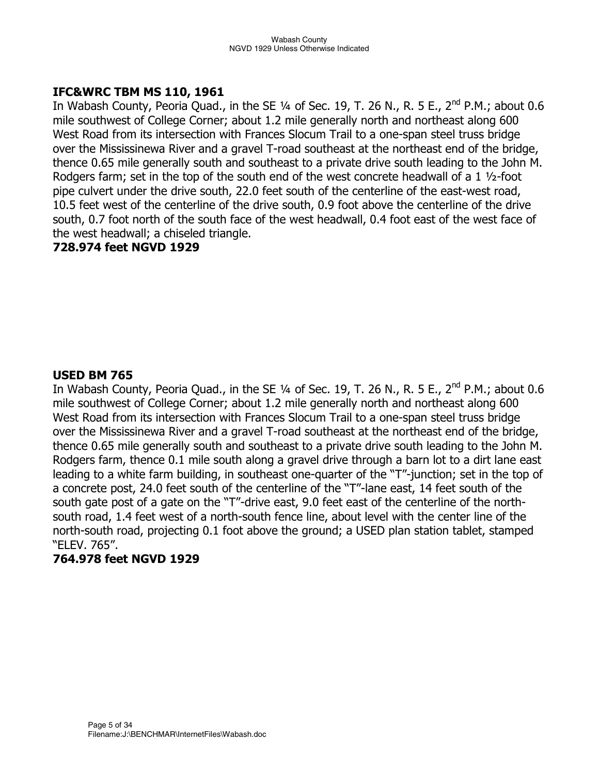#### **IFC&WRC TBM MS 110, 1961**

In Wabash County, Peoria Quad., in the SE  $\frac{1}{4}$  of Sec. 19, T. 26 N., R. 5 E., 2<sup>nd</sup> P.M.; about 0.6 mile southwest of College Corner; about 1.2 mile generally north and northeast along 600 West Road from its intersection with Frances Slocum Trail to a one-span steel truss bridge over the Mississinewa River and a gravel T-road southeast at the northeast end of the bridge, thence 0.65 mile generally south and southeast to a private drive south leading to the John M. Rodgers farm; set in the top of the south end of the west concrete headwall of a 1 ½-foot pipe culvert under the drive south, 22.0 feet south of the centerline of the east-west road, 10.5 feet west of the centerline of the drive south, 0.9 foot above the centerline of the drive south, 0.7 foot north of the south face of the west headwall, 0.4 foot east of the west face of the west headwall; a chiseled triangle.

## **728.974 feet NGVD 1929**

## **USED BM 765**

In Wabash County, Peoria Quad., in the SE  $\frac{1}{4}$  of Sec. 19, T. 26 N., R. 5 E., 2<sup>nd</sup> P.M.; about 0.6 mile southwest of College Corner; about 1.2 mile generally north and northeast along 600 West Road from its intersection with Frances Slocum Trail to a one-span steel truss bridge over the Mississinewa River and a gravel T-road southeast at the northeast end of the bridge, thence 0.65 mile generally south and southeast to a private drive south leading to the John M. Rodgers farm, thence 0.1 mile south along a gravel drive through a barn lot to a dirt lane east leading to a white farm building, in southeast one-quarter of the "T"-junction; set in the top of a concrete post, 24.0 feet south of the centerline of the "T"-lane east, 14 feet south of the south gate post of a gate on the "T"-drive east, 9.0 feet east of the centerline of the northsouth road, 1.4 feet west of a north-south fence line, about level with the center line of the north-south road, projecting 0.1 foot above the ground; a USED plan station tablet, stamped "ELEV. 765".

#### **764.978 feet NGVD 1929**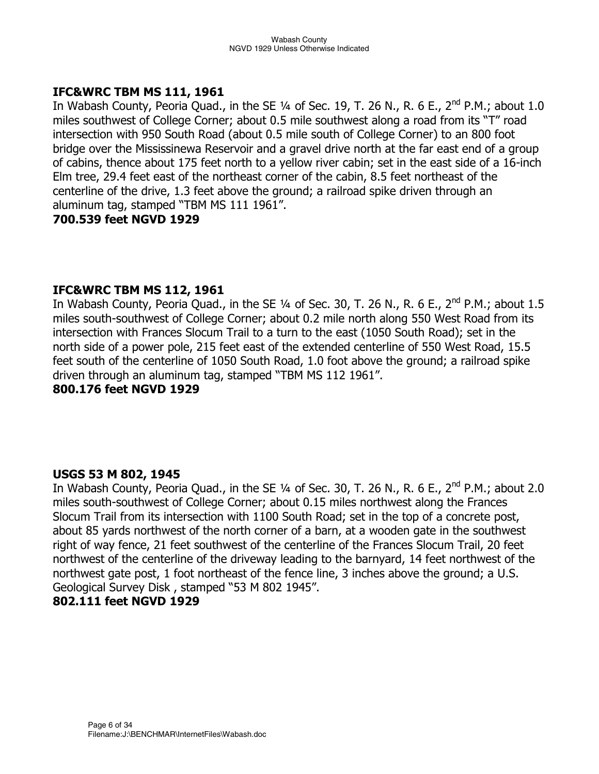#### **IFC&WRC TBM MS 111, 1961**

In Wabash County, Peoria Quad., in the SE  $\frac{1}{4}$  of Sec. 19, T. 26 N., R. 6 E., 2<sup>nd</sup> P.M.; about 1.0 miles southwest of College Corner; about 0.5 mile southwest along a road from its "T" road intersection with 950 South Road (about 0.5 mile south of College Corner) to an 800 foot bridge over the Mississinewa Reservoir and a gravel drive north at the far east end of a group of cabins, thence about 175 feet north to a yellow river cabin; set in the east side of a 16-inch Elm tree, 29.4 feet east of the northeast corner of the cabin, 8.5 feet northeast of the centerline of the drive, 1.3 feet above the ground; a railroad spike driven through an aluminum tag, stamped "TBM MS 111 1961".

## **700.539 feet NGVD 1929**

## **IFC&WRC TBM MS 112, 1961**

In Wabash County, Peoria Quad., in the SE  $\frac{1}{4}$  of Sec. 30, T. 26 N., R. 6 E., 2<sup>nd</sup> P.M.; about 1.5 miles south-southwest of College Corner; about 0.2 mile north along 550 West Road from its intersection with Frances Slocum Trail to a turn to the east (1050 South Road); set in the north side of a power pole, 215 feet east of the extended centerline of 550 West Road, 15.5 feet south of the centerline of 1050 South Road, 1.0 foot above the ground; a railroad spike driven through an aluminum tag, stamped "TBM MS 112 1961".

## **800.176 feet NGVD 1929**

#### **USGS 53 M 802, 1945**

In Wabash County, Peoria Quad., in the SE  $1/4$  of Sec. 30, T. 26 N., R. 6 E., 2<sup>nd</sup> P.M.; about 2.0 miles south-southwest of College Corner; about 0.15 miles northwest along the Frances Slocum Trail from its intersection with 1100 South Road; set in the top of a concrete post, about 85 yards northwest of the north corner of a barn, at a wooden gate in the southwest right of way fence, 21 feet southwest of the centerline of the Frances Slocum Trail, 20 feet northwest of the centerline of the driveway leading to the barnyard, 14 feet northwest of the northwest gate post, 1 foot northeast of the fence line, 3 inches above the ground; a U.S. Geological Survey Disk , stamped "53 M 802 1945".

#### **802.111 feet NGVD 1929**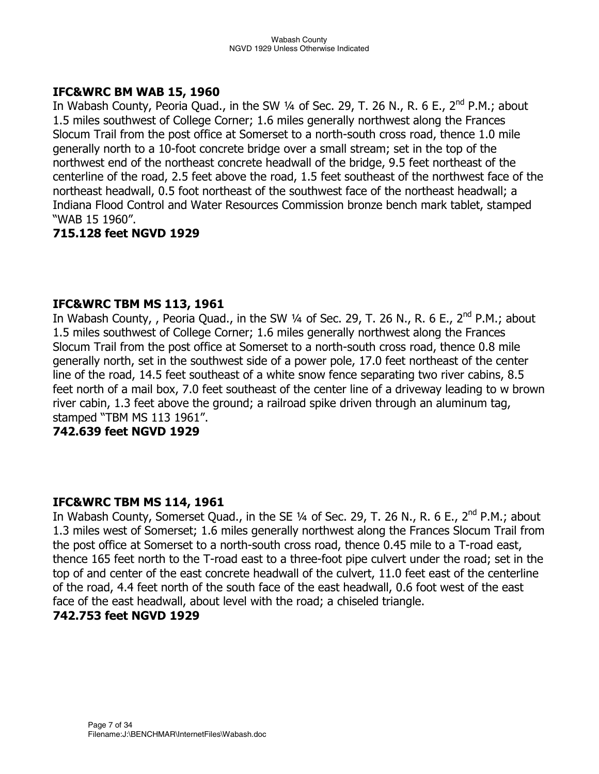## **IFC&WRC BM WAB 15, 1960**

In Wabash County, Peoria Quad., in the SW 1/4 of Sec. 29, T. 26 N., R. 6 E., 2<sup>nd</sup> P.M.; about 1.5 miles southwest of College Corner; 1.6 miles generally northwest along the Frances Slocum Trail from the post office at Somerset to a north-south cross road, thence 1.0 mile generally north to a 10-foot concrete bridge over a small stream; set in the top of the northwest end of the northeast concrete headwall of the bridge, 9.5 feet northeast of the centerline of the road, 2.5 feet above the road, 1.5 feet southeast of the northwest face of the northeast headwall, 0.5 foot northeast of the southwest face of the northeast headwall; a Indiana Flood Control and Water Resources Commission bronze bench mark tablet, stamped "WAB 15 1960".

## **715.128 feet NGVD 1929**

## **IFC&WRC TBM MS 113, 1961**

In Wabash County, , Peoria Quad., in the SW 1/4 of Sec. 29, T. 26 N., R. 6 E., 2<sup>nd</sup> P.M.: about 1.5 miles southwest of College Corner; 1.6 miles generally northwest along the Frances Slocum Trail from the post office at Somerset to a north-south cross road, thence 0.8 mile generally north, set in the southwest side of a power pole, 17.0 feet northeast of the center line of the road, 14.5 feet southeast of a white snow fence separating two river cabins, 8.5 feet north of a mail box, 7.0 feet southeast of the center line of a driveway leading to w brown river cabin, 1.3 feet above the ground; a railroad spike driven through an aluminum tag, stamped "TBM MS 113 1961".

#### **742.639 feet NGVD 1929**

#### **IFC&WRC TBM MS 114, 1961**

In Wabash County, Somerset Quad., in the SE  $\frac{1}{4}$  of Sec. 29, T. 26 N., R. 6 E., 2<sup>nd</sup> P.M.; about 1.3 miles west of Somerset; 1.6 miles generally northwest along the Frances Slocum Trail from the post office at Somerset to a north-south cross road, thence 0.45 mile to a T-road east, thence 165 feet north to the T-road east to a three-foot pipe culvert under the road; set in the top of and center of the east concrete headwall of the culvert, 11.0 feet east of the centerline of the road, 4.4 feet north of the south face of the east headwall, 0.6 foot west of the east face of the east headwall, about level with the road; a chiseled triangle.

#### **742.753 feet NGVD 1929**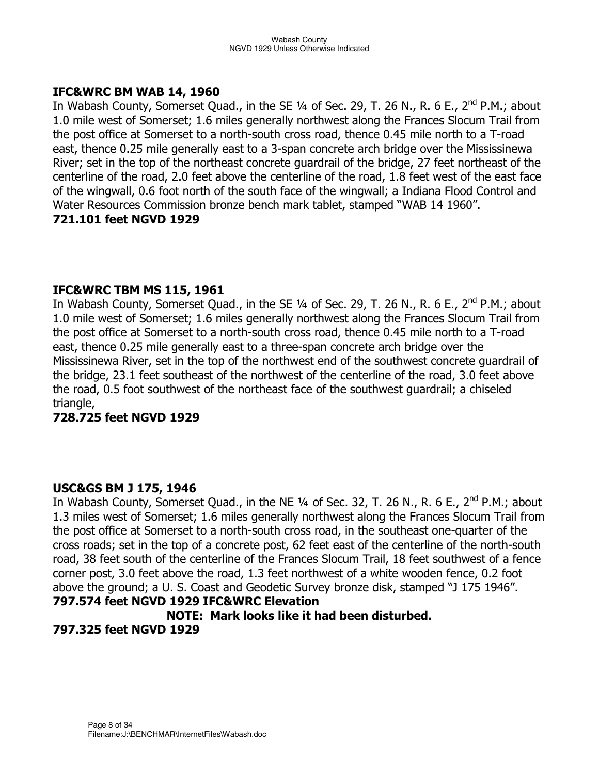#### **IFC&WRC BM WAB 14, 1960**

In Wabash County, Somerset Quad., in the SE  $\frac{1}{4}$  of Sec. 29, T. 26 N., R. 6 E., 2<sup>nd</sup> P.M.; about 1.0 mile west of Somerset; 1.6 miles generally northwest along the Frances Slocum Trail from the post office at Somerset to a north-south cross road, thence 0.45 mile north to a T-road east, thence 0.25 mile generally east to a 3-span concrete arch bridge over the Mississinewa River; set in the top of the northeast concrete guardrail of the bridge, 27 feet northeast of the centerline of the road, 2.0 feet above the centerline of the road, 1.8 feet west of the east face of the wingwall, 0.6 foot north of the south face of the wingwall; a Indiana Flood Control and Water Resources Commission bronze bench mark tablet, stamped "WAB 14 1960".

## **721.101 feet NGVD 1929**

## **IFC&WRC TBM MS 115, 1961**

In Wabash County, Somerset Quad., in the SE  $\frac{1}{4}$  of Sec. 29, T. 26 N., R. 6 E., 2<sup>nd</sup> P.M.; about 1.0 mile west of Somerset; 1.6 miles generally northwest along the Frances Slocum Trail from the post office at Somerset to a north-south cross road, thence 0.45 mile north to a T-road east, thence 0.25 mile generally east to a three-span concrete arch bridge over the Mississinewa River, set in the top of the northwest end of the southwest concrete guardrail of the bridge, 23.1 feet southeast of the northwest of the centerline of the road, 3.0 feet above the road, 0.5 foot southwest of the northeast face of the southwest guardrail; a chiseled triangle,

## **728.725 feet NGVD 1929**

## **USC&GS BM J 175, 1946**

In Wabash County, Somerset Quad., in the NE  $\frac{1}{4}$  of Sec. 32, T. 26 N., R. 6 E., 2<sup>nd</sup> P.M.; about 1.3 miles west of Somerset; 1.6 miles generally northwest along the Frances Slocum Trail from the post office at Somerset to a north-south cross road, in the southeast one-quarter of the cross roads; set in the top of a concrete post, 62 feet east of the centerline of the north-south road, 38 feet south of the centerline of the Frances Slocum Trail, 18 feet southwest of a fence corner post, 3.0 feet above the road, 1.3 feet northwest of a white wooden fence, 0.2 foot above the ground; a U. S. Coast and Geodetic Survey bronze disk, stamped "J 175 1946". **797.574 feet NGVD 1929 IFC&WRC Elevation** 

## **NOTE: Mark looks like it had been disturbed. 797.325 feet NGVD 1929**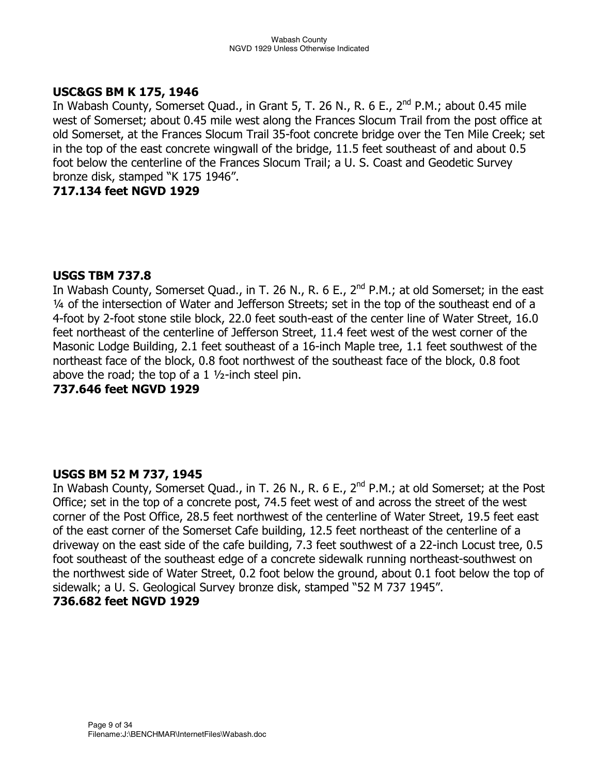## **USC&GS BM K 175, 1946**

In Wabash County, Somerset Quad., in Grant 5, T. 26 N., R. 6 E., 2<sup>nd</sup> P.M.; about 0.45 mile west of Somerset; about 0.45 mile west along the Frances Slocum Trail from the post office at old Somerset, at the Frances Slocum Trail 35-foot concrete bridge over the Ten Mile Creek; set in the top of the east concrete wingwall of the bridge, 11.5 feet southeast of and about 0.5 foot below the centerline of the Frances Slocum Trail; a U. S. Coast and Geodetic Survey bronze disk, stamped "K 175 1946".

## **717.134 feet NGVD 1929**

#### **USGS TBM 737.8**

In Wabash County, Somerset Quad., in T. 26 N., R. 6 E., 2<sup>nd</sup> P.M.; at old Somerset; in the east ¼ of the intersection of Water and Jefferson Streets; set in the top of the southeast end of a 4-foot by 2-foot stone stile block, 22.0 feet south-east of the center line of Water Street, 16.0 feet northeast of the centerline of Jefferson Street, 11.4 feet west of the west corner of the Masonic Lodge Building, 2.1 feet southeast of a 16-inch Maple tree, 1.1 feet southwest of the northeast face of the block, 0.8 foot northwest of the southeast face of the block, 0.8 foot above the road; the top of a 1  $\frac{1}{2}$ -inch steel pin.

## **737.646 feet NGVD 1929**

#### **USGS BM 52 M 737, 1945**

In Wabash County, Somerset Quad., in T. 26 N., R. 6 E.,  $2^{nd}$  P.M.; at old Somerset; at the Post Office; set in the top of a concrete post, 74.5 feet west of and across the street of the west corner of the Post Office, 28.5 feet northwest of the centerline of Water Street, 19.5 feet east of the east corner of the Somerset Cafe building, 12.5 feet northeast of the centerline of a driveway on the east side of the cafe building, 7.3 feet southwest of a 22-inch Locust tree, 0.5 foot southeast of the southeast edge of a concrete sidewalk running northeast-southwest on the northwest side of Water Street, 0.2 foot below the ground, about 0.1 foot below the top of sidewalk; a U. S. Geological Survey bronze disk, stamped "52 M 737 1945".

#### **736.682 feet NGVD 1929**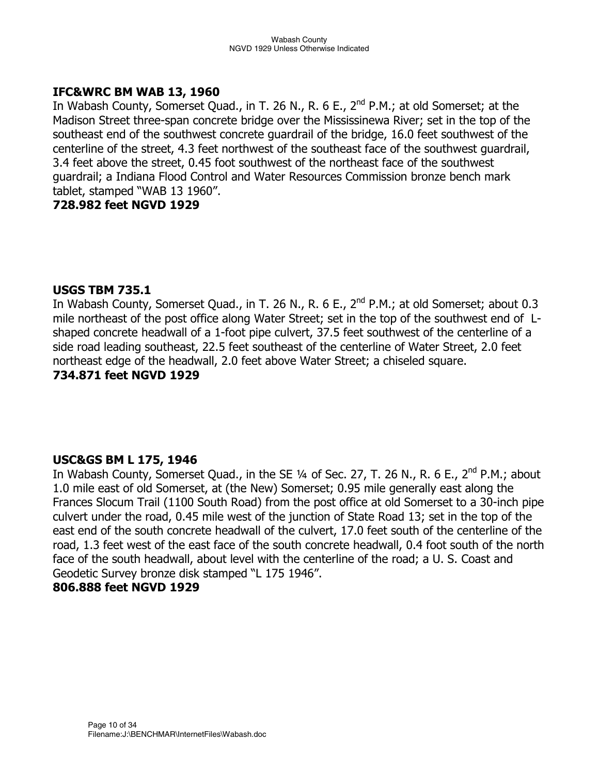## **IFC&WRC BM WAB 13, 1960**

In Wabash County, Somerset Quad., in T. 26 N., R. 6 E.,  $2^{nd}$  P.M.; at old Somerset; at the Madison Street three-span concrete bridge over the Mississinewa River; set in the top of the southeast end of the southwest concrete guardrail of the bridge, 16.0 feet southwest of the centerline of the street, 4.3 feet northwest of the southeast face of the southwest guardrail, 3.4 feet above the street, 0.45 foot southwest of the northeast face of the southwest guardrail; a Indiana Flood Control and Water Resources Commission bronze bench mark tablet, stamped "WAB 13 1960".

#### **728.982 feet NGVD 1929**

#### **USGS TBM 735.1**

In Wabash County, Somerset Quad., in T. 26 N., R. 6 E., 2<sup>nd</sup> P.M.; at old Somerset; about 0.3 mile northeast of the post office along Water Street; set in the top of the southwest end of Lshaped concrete headwall of a 1-foot pipe culvert, 37.5 feet southwest of the centerline of a side road leading southeast, 22.5 feet southeast of the centerline of Water Street, 2.0 feet northeast edge of the headwall, 2.0 feet above Water Street; a chiseled square. **734.871 feet NGVD 1929** 

## **USC&GS BM L 175, 1946**

In Wabash County, Somerset Quad., in the SE  $\frac{1}{4}$  of Sec. 27, T. 26 N., R. 6 E., 2<sup>nd</sup> P.M.; about 1.0 mile east of old Somerset, at (the New) Somerset; 0.95 mile generally east along the Frances Slocum Trail (1100 South Road) from the post office at old Somerset to a 30-inch pipe culvert under the road, 0.45 mile west of the junction of State Road 13; set in the top of the east end of the south concrete headwall of the culvert, 17.0 feet south of the centerline of the road, 1.3 feet west of the east face of the south concrete headwall, 0.4 foot south of the north face of the south headwall, about level with the centerline of the road; a U. S. Coast and Geodetic Survey bronze disk stamped "L 175 1946".

## **806.888 feet NGVD 1929**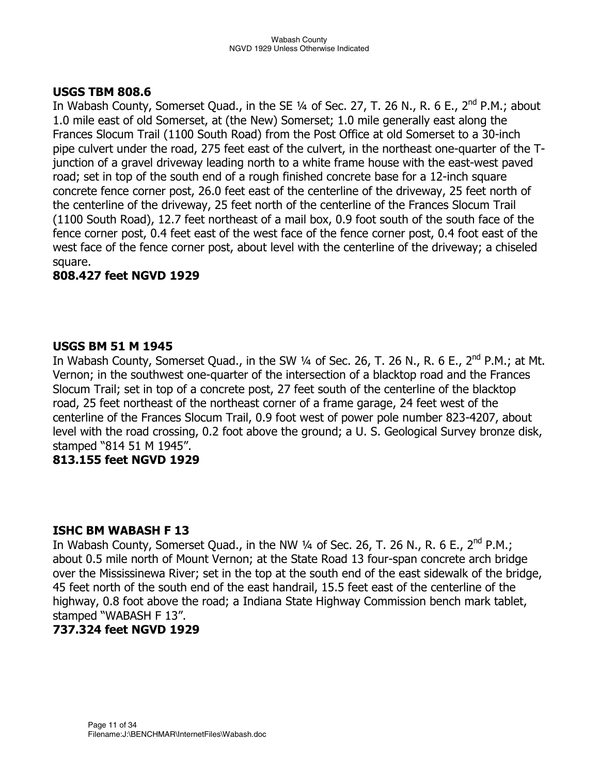#### **USGS TBM 808.6**

In Wabash County, Somerset Quad., in the SE  $\frac{1}{4}$  of Sec. 27, T. 26 N., R. 6 E., 2<sup>nd</sup> P.M.; about 1.0 mile east of old Somerset, at (the New) Somerset; 1.0 mile generally east along the Frances Slocum Trail (1100 South Road) from the Post Office at old Somerset to a 30-inch pipe culvert under the road, 275 feet east of the culvert, in the northeast one-quarter of the Tjunction of a gravel driveway leading north to a white frame house with the east-west paved road; set in top of the south end of a rough finished concrete base for a 12-inch square concrete fence corner post, 26.0 feet east of the centerline of the driveway, 25 feet north of the centerline of the driveway, 25 feet north of the centerline of the Frances Slocum Trail (1100 South Road), 12.7 feet northeast of a mail box, 0.9 foot south of the south face of the fence corner post, 0.4 feet east of the west face of the fence corner post, 0.4 foot east of the west face of the fence corner post, about level with the centerline of the driveway; a chiseled square.

## **808.427 feet NGVD 1929**

#### **USGS BM 51 M 1945**

In Wabash County, Somerset Quad., in the SW  $\frac{1}{4}$  of Sec. 26, T. 26 N., R. 6 E., 2<sup>nd</sup> P.M.; at Mt. Vernon; in the southwest one-quarter of the intersection of a blacktop road and the Frances Slocum Trail; set in top of a concrete post, 27 feet south of the centerline of the blacktop road, 25 feet northeast of the northeast corner of a frame garage, 24 feet west of the centerline of the Frances Slocum Trail, 0.9 foot west of power pole number 823-4207, about level with the road crossing, 0.2 foot above the ground; a U. S. Geological Survey bronze disk, stamped "814 51 M 1945".

## **813.155 feet NGVD 1929**

## **ISHC BM WABASH F 13**

In Wabash County, Somerset Quad., in the NW  $\frac{1}{4}$  of Sec. 26, T. 26 N., R. 6 E., 2<sup>nd</sup> P.M.; about 0.5 mile north of Mount Vernon; at the State Road 13 four-span concrete arch bridge over the Mississinewa River; set in the top at the south end of the east sidewalk of the bridge, 45 feet north of the south end of the east handrail, 15.5 feet east of the centerline of the highway, 0.8 foot above the road; a Indiana State Highway Commission bench mark tablet, stamped "WABASH F 13".

#### **737.324 feet NGVD 1929**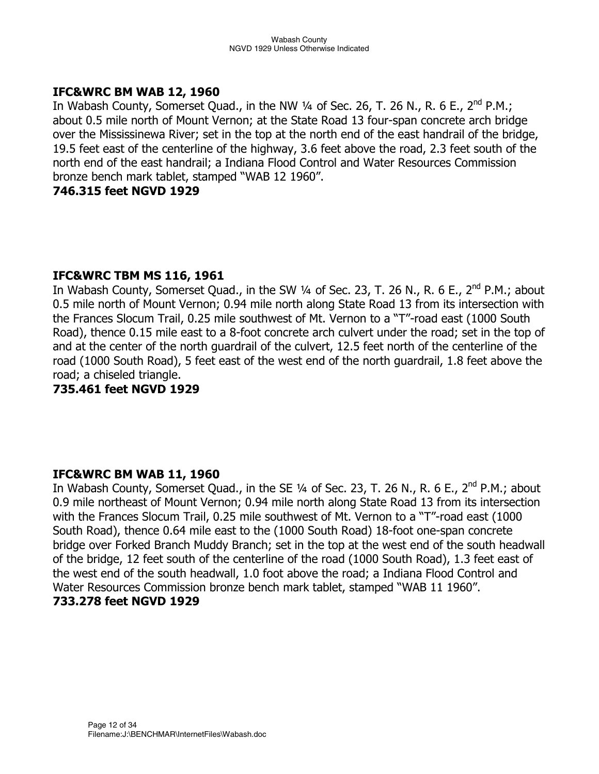## **IFC&WRC BM WAB 12, 1960**

In Wabash County, Somerset Quad., in the NW  $\frac{1}{4}$  of Sec. 26, T. 26 N., R. 6 E., 2<sup>nd</sup> P.M.; about 0.5 mile north of Mount Vernon; at the State Road 13 four-span concrete arch bridge over the Mississinewa River; set in the top at the north end of the east handrail of the bridge, 19.5 feet east of the centerline of the highway, 3.6 feet above the road, 2.3 feet south of the north end of the east handrail; a Indiana Flood Control and Water Resources Commission bronze bench mark tablet, stamped "WAB 12 1960".

## **746.315 feet NGVD 1929**

#### **IFC&WRC TBM MS 116, 1961**

In Wabash County, Somerset Quad., in the SW  $\frac{1}{4}$  of Sec. 23, T. 26 N., R. 6 E., 2<sup>nd</sup> P.M.; about 0.5 mile north of Mount Vernon; 0.94 mile north along State Road 13 from its intersection with the Frances Slocum Trail, 0.25 mile southwest of Mt. Vernon to a "T"-road east (1000 South Road), thence 0.15 mile east to a 8-foot concrete arch culvert under the road; set in the top of and at the center of the north guardrail of the culvert, 12.5 feet north of the centerline of the road (1000 South Road), 5 feet east of the west end of the north guardrail, 1.8 feet above the road; a chiseled triangle.

**735.461 feet NGVD 1929** 

#### **IFC&WRC BM WAB 11, 1960**

In Wabash County, Somerset Quad., in the SE 1/4 of Sec. 23, T. 26 N., R. 6 E., 2<sup>nd</sup> P.M.; about 0.9 mile northeast of Mount Vernon; 0.94 mile north along State Road 13 from its intersection with the Frances Slocum Trail, 0.25 mile southwest of Mt. Vernon to a "T"-road east (1000 South Road), thence 0.64 mile east to the (1000 South Road) 18-foot one-span concrete bridge over Forked Branch Muddy Branch; set in the top at the west end of the south headwall of the bridge, 12 feet south of the centerline of the road (1000 South Road), 1.3 feet east of the west end of the south headwall, 1.0 foot above the road; a Indiana Flood Control and Water Resources Commission bronze bench mark tablet, stamped "WAB 11 1960". **733.278 feet NGVD 1929**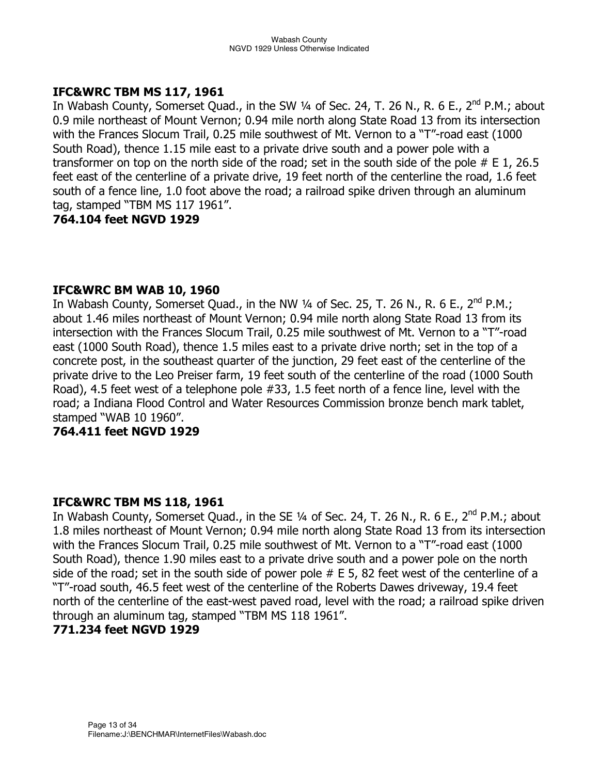#### **IFC&WRC TBM MS 117, 1961**

In Wabash County, Somerset Quad., in the SW  $\frac{1}{4}$  of Sec. 24, T. 26 N., R. 6 E., 2<sup>nd</sup> P.M.; about 0.9 mile northeast of Mount Vernon; 0.94 mile north along State Road 13 from its intersection with the Frances Slocum Trail, 0.25 mile southwest of Mt. Vernon to a "T"-road east (1000 South Road), thence 1.15 mile east to a private drive south and a power pole with a transformer on top on the north side of the road; set in the south side of the pole  $#E 1$ , 26.5 feet east of the centerline of a private drive, 19 feet north of the centerline the road, 1.6 feet south of a fence line, 1.0 foot above the road; a railroad spike driven through an aluminum tag, stamped "TBM MS 117 1961".

## **764.104 feet NGVD 1929**

## **IFC&WRC BM WAB 10, 1960**

In Wabash County, Somerset Quad., in the NW 1/4 of Sec. 25, T. 26 N., R. 6 E., 2<sup>nd</sup> P.M.; about 1.46 miles northeast of Mount Vernon; 0.94 mile north along State Road 13 from its intersection with the Frances Slocum Trail, 0.25 mile southwest of Mt. Vernon to a "T"-road east (1000 South Road), thence 1.5 miles east to a private drive north; set in the top of a concrete post, in the southeast quarter of the junction, 29 feet east of the centerline of the private drive to the Leo Preiser farm, 19 feet south of the centerline of the road (1000 South Road), 4.5 feet west of a telephone pole #33, 1.5 feet north of a fence line, level with the road; a Indiana Flood Control and Water Resources Commission bronze bench mark tablet, stamped "WAB 10 1960".

#### **764.411 feet NGVD 1929**

#### **IFC&WRC TBM MS 118, 1961**

In Wabash County, Somerset Quad., in the SE  $\frac{1}{4}$  of Sec. 24, T. 26 N., R. 6 E., 2<sup>nd</sup> P.M.; about 1.8 miles northeast of Mount Vernon; 0.94 mile north along State Road 13 from its intersection with the Frances Slocum Trail, 0.25 mile southwest of Mt. Vernon to a "T"-road east (1000 South Road), thence 1.90 miles east to a private drive south and a power pole on the north side of the road; set in the south side of power pole  $#E$  5, 82 feet west of the centerline of a "T"-road south, 46.5 feet west of the centerline of the Roberts Dawes driveway, 19.4 feet north of the centerline of the east-west paved road, level with the road; a railroad spike driven through an aluminum tag, stamped "TBM MS 118 1961".

## **771.234 feet NGVD 1929**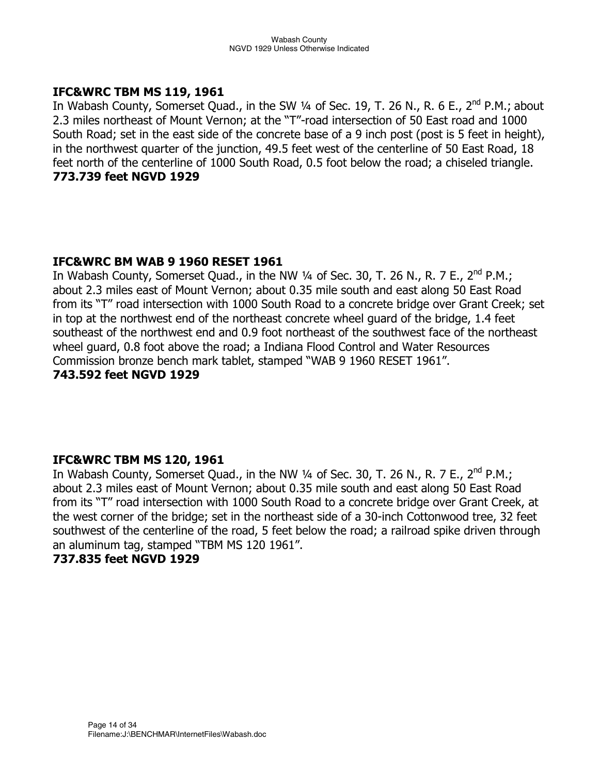#### **IFC&WRC TBM MS 119, 1961**

In Wabash County, Somerset Quad., in the SW  $\frac{1}{4}$  of Sec. 19, T. 26 N., R. 6 E., 2<sup>nd</sup> P.M.; about 2.3 miles northeast of Mount Vernon; at the "T"-road intersection of 50 East road and 1000 South Road; set in the east side of the concrete base of a 9 inch post (post is 5 feet in height), in the northwest quarter of the junction, 49.5 feet west of the centerline of 50 East Road, 18 feet north of the centerline of 1000 South Road, 0.5 foot below the road; a chiseled triangle. **773.739 feet NGVD 1929** 

## **IFC&WRC BM WAB 9 1960 RESET 1961**

In Wabash County, Somerset Quad., in the NW  $\frac{1}{4}$  of Sec. 30, T. 26 N., R. 7 E., 2<sup>nd</sup> P.M.; about 2.3 miles east of Mount Vernon; about 0.35 mile south and east along 50 East Road from its "T" road intersection with 1000 South Road to a concrete bridge over Grant Creek; set in top at the northwest end of the northeast concrete wheel guard of the bridge, 1.4 feet southeast of the northwest end and 0.9 foot northeast of the southwest face of the northeast wheel guard, 0.8 foot above the road; a Indiana Flood Control and Water Resources Commission bronze bench mark tablet, stamped "WAB 9 1960 RESET 1961". **743.592 feet NGVD 1929** 

## **IFC&WRC TBM MS 120, 1961**

In Wabash County, Somerset Quad., in the NW  $\frac{1}{4}$  of Sec. 30, T. 26 N., R. 7 E., 2<sup>nd</sup> P.M.; about 2.3 miles east of Mount Vernon; about 0.35 mile south and east along 50 East Road from its "T" road intersection with 1000 South Road to a concrete bridge over Grant Creek, at the west corner of the bridge; set in the northeast side of a 30-inch Cottonwood tree, 32 feet southwest of the centerline of the road, 5 feet below the road; a railroad spike driven through an aluminum tag, stamped "TBM MS 120 1961".

#### **737.835 feet NGVD 1929**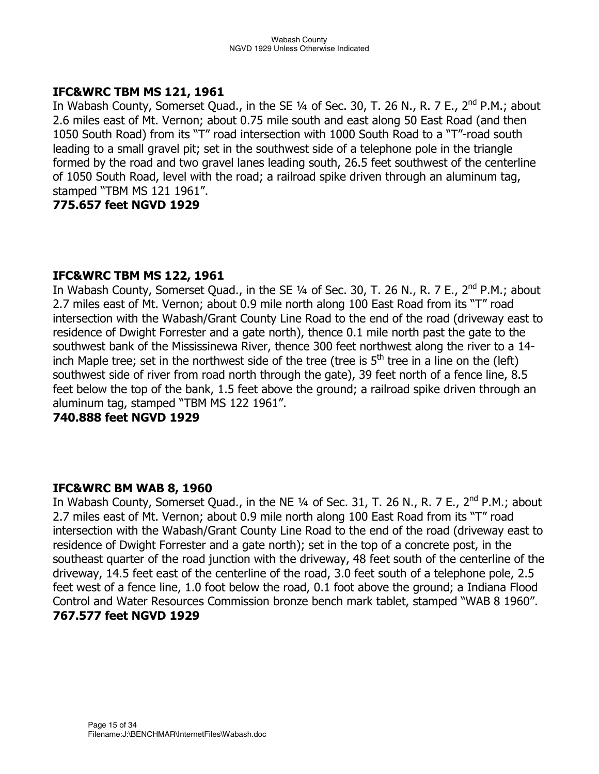#### **IFC&WRC TBM MS 121, 1961**

In Wabash County, Somerset Quad., in the SE  $\frac{1}{4}$  of Sec. 30, T. 26 N., R. 7 E., 2<sup>nd</sup> P.M.; about 2.6 miles east of Mt. Vernon; about 0.75 mile south and east along 50 East Road (and then 1050 South Road) from its "T" road intersection with 1000 South Road to a "T"-road south leading to a small gravel pit; set in the southwest side of a telephone pole in the triangle formed by the road and two gravel lanes leading south, 26.5 feet southwest of the centerline of 1050 South Road, level with the road; a railroad spike driven through an aluminum tag, stamped "TBM MS 121 1961".

## **775.657 feet NGVD 1929**

## **IFC&WRC TBM MS 122, 1961**

In Wabash County, Somerset Quad., in the SE  $\frac{1}{4}$  of Sec. 30, T. 26 N., R. 7 E., 2<sup>nd</sup> P.M.; about 2.7 miles east of Mt. Vernon; about 0.9 mile north along 100 East Road from its "T" road intersection with the Wabash/Grant County Line Road to the end of the road (driveway east to residence of Dwight Forrester and a gate north), thence 0.1 mile north past the gate to the southwest bank of the Mississinewa River, thence 300 feet northwest along the river to a 14 inch Maple tree; set in the northwest side of the tree (tree is  $5<sup>th</sup>$  tree in a line on the (left) southwest side of river from road north through the gate), 39 feet north of a fence line, 8.5 feet below the top of the bank, 1.5 feet above the ground; a railroad spike driven through an aluminum tag, stamped "TBM MS 122 1961".

## **740.888 feet NGVD 1929**

#### **IFC&WRC BM WAB 8, 1960**

In Wabash County, Somerset Quad., in the NE  $\frac{1}{4}$  of Sec. 31, T. 26 N., R. 7 E., 2<sup>nd</sup> P.M.; about 2.7 miles east of Mt. Vernon; about 0.9 mile north along 100 East Road from its "T" road intersection with the Wabash/Grant County Line Road to the end of the road (driveway east to residence of Dwight Forrester and a gate north); set in the top of a concrete post, in the southeast quarter of the road junction with the driveway, 48 feet south of the centerline of the driveway, 14.5 feet east of the centerline of the road, 3.0 feet south of a telephone pole, 2.5 feet west of a fence line, 1.0 foot below the road, 0.1 foot above the ground; a Indiana Flood Control and Water Resources Commission bronze bench mark tablet, stamped "WAB 8 1960". **767.577 feet NGVD 1929**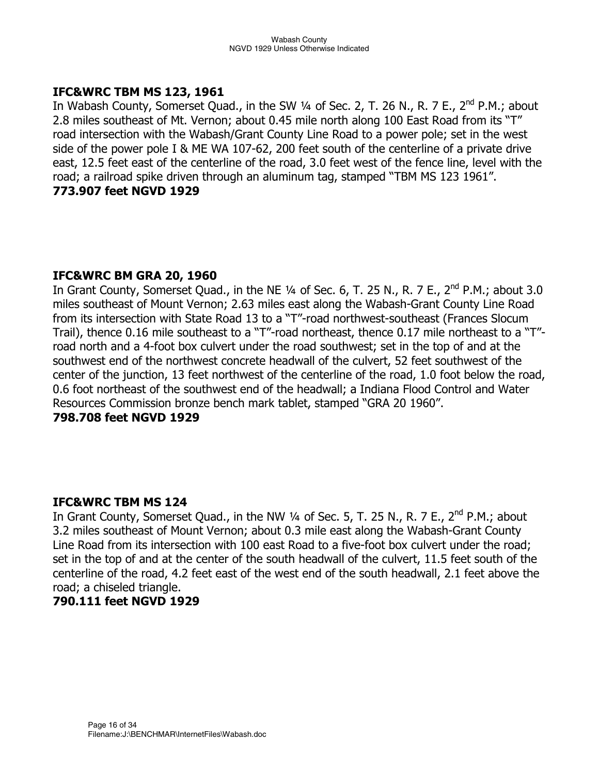## **IFC&WRC TBM MS 123, 1961**

In Wabash County, Somerset Quad., in the SW  $\frac{1}{4}$  of Sec. 2, T. 26 N., R. 7 E., 2<sup>nd</sup> P.M.; about 2.8 miles southeast of Mt. Vernon; about 0.45 mile north along 100 East Road from its "T" road intersection with the Wabash/Grant County Line Road to a power pole; set in the west side of the power pole I & ME WA 107-62, 200 feet south of the centerline of a private drive east, 12.5 feet east of the centerline of the road, 3.0 feet west of the fence line, level with the road; a railroad spike driven through an aluminum tag, stamped "TBM MS 123 1961". **773.907 feet NGVD 1929** 

## **IFC&WRC BM GRA 20, 1960**

In Grant County, Somerset Quad., in the NE  $\frac{1}{4}$  of Sec. 6, T. 25 N., R. 7 E., 2<sup>nd</sup> P.M.; about 3.0 miles southeast of Mount Vernon; 2.63 miles east along the Wabash-Grant County Line Road from its intersection with State Road 13 to a "T"-road northwest-southeast (Frances Slocum Trail), thence 0.16 mile southeast to a "T"-road northeast, thence 0.17 mile northeast to a "T" road north and a 4-foot box culvert under the road southwest; set in the top of and at the southwest end of the northwest concrete headwall of the culvert, 52 feet southwest of the center of the junction, 13 feet northwest of the centerline of the road, 1.0 foot below the road, 0.6 foot northeast of the southwest end of the headwall; a Indiana Flood Control and Water Resources Commission bronze bench mark tablet, stamped "GRA 20 1960".

#### **798.708 feet NGVD 1929**

#### **IFC&WRC TBM MS 124**

In Grant County, Somerset Quad., in the NW  $\frac{1}{4}$  of Sec. 5, T. 25 N., R. 7 E., 2<sup>nd</sup> P.M.; about 3.2 miles southeast of Mount Vernon; about 0.3 mile east along the Wabash-Grant County Line Road from its intersection with 100 east Road to a five-foot box culvert under the road; set in the top of and at the center of the south headwall of the culvert, 11.5 feet south of the centerline of the road, 4.2 feet east of the west end of the south headwall, 2.1 feet above the road; a chiseled triangle.

## **790.111 feet NGVD 1929**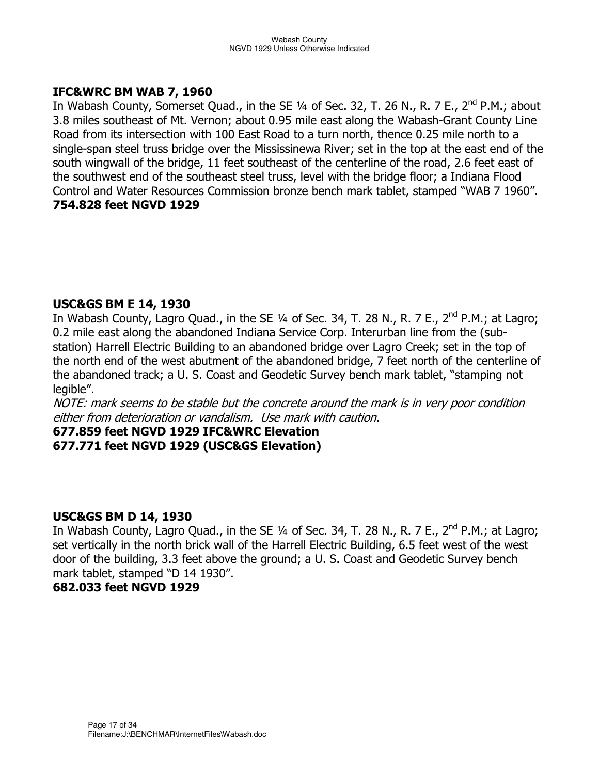#### **IFC&WRC BM WAB 7, 1960**

In Wabash County, Somerset Quad., in the SE  $\frac{1}{4}$  of Sec. 32, T. 26 N., R. 7 E., 2<sup>nd</sup> P.M.; about 3.8 miles southeast of Mt. Vernon; about 0.95 mile east along the Wabash-Grant County Line Road from its intersection with 100 East Road to a turn north, thence 0.25 mile north to a single-span steel truss bridge over the Mississinewa River; set in the top at the east end of the south wingwall of the bridge, 11 feet southeast of the centerline of the road, 2.6 feet east of the southwest end of the southeast steel truss, level with the bridge floor; a Indiana Flood Control and Water Resources Commission bronze bench mark tablet, stamped "WAB 7 1960". **754.828 feet NGVD 1929** 

## **USC&GS BM E 14, 1930**

In Wabash County, Lagro Quad., in the SE  $\frac{1}{4}$  of Sec. 34, T. 28 N., R. 7 E., 2<sup>nd</sup> P.M.; at Lagro; 0.2 mile east along the abandoned Indiana Service Corp. Interurban line from the (substation) Harrell Electric Building to an abandoned bridge over Lagro Creek; set in the top of the north end of the west abutment of the abandoned bridge, 7 feet north of the centerline of the abandoned track; a U. S. Coast and Geodetic Survey bench mark tablet, "stamping not legible".

NOTE: mark seems to be stable but the concrete around the mark is in very poor condition either from deterioration or vandalism. Use mark with caution.

#### **677.859 feet NGVD 1929 IFC&WRC Elevation 677.771 feet NGVD 1929 (USC&GS Elevation)**

#### **USC&GS BM D 14, 1930**

In Wabash County, Lagro Quad., in the SE 1/4 of Sec. 34, T. 28 N., R. 7 E., 2<sup>nd</sup> P.M.; at Lagro; set vertically in the north brick wall of the Harrell Electric Building, 6.5 feet west of the west door of the building, 3.3 feet above the ground; a U. S. Coast and Geodetic Survey bench mark tablet, stamped "D 14 1930".

## **682.033 feet NGVD 1929**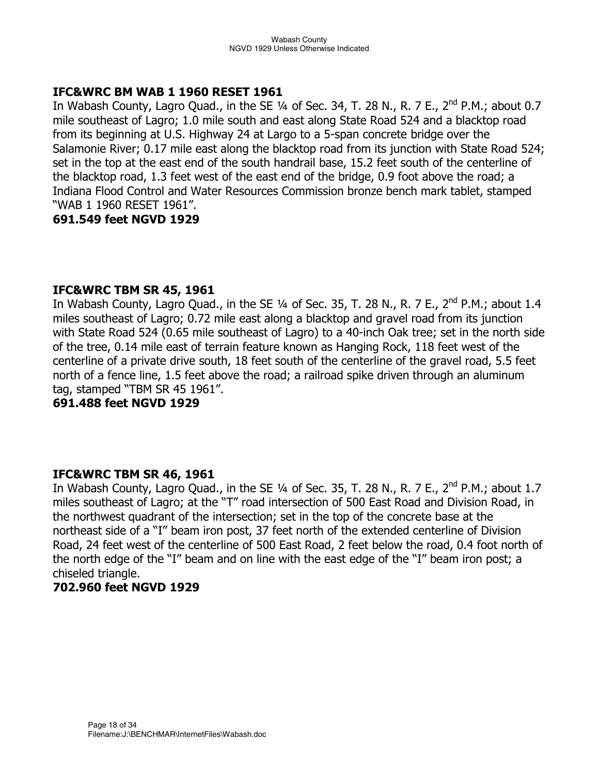## **IFC&WRC BM WAB 1 1960 RESET 1961**

In Wabash County, Lagro Quad., in the SE  $\frac{1}{4}$  of Sec. 34, T. 28 N., R. 7 E., 2<sup>nd</sup> P.M.; about 0.7 mile southeast of Lagro; 1.0 mile south and east along State Road 524 and a blacktop road from its beginning at U.S. Highway 24 at Largo to a 5-span concrete bridge over the Salamonie River; 0.17 mile east along the blacktop road from its junction with State Road 524; set in the top at the east end of the south handrail base, 15.2 feet south of the centerline of the blacktop road, 1.3 feet west of the east end of the bridge, 0.9 foot above the road; a Indiana Flood Control and Water Resources Commission bronze bench mark tablet, stamped "WAB 1 1960 RESET 1961".

## **691.549 feet NGVD 1929**

## **IFC&WRC TBM SR 45, 1961**

In Wabash County, Lagro Quad., in the SE  $\frac{1}{4}$  of Sec. 35, T. 28 N., R. 7 E., 2<sup>nd</sup> P.M.; about 1.4 miles southeast of Lagro; 0.72 mile east along a blacktop and gravel road from its junction with State Road 524 (0.65 mile southeast of Lagro) to a 40-inch Oak tree; set in the north side of the tree, 0.14 mile east of terrain feature known as Hanging Rock, 118 feet west of the centerline of a private drive south, 18 feet south of the centerline of the gravel road, 5.5 feet north of a fence line, 1.5 feet above the road; a railroad spike driven through an aluminum tag, stamped "TBM SR 45 1961".

**691.488 feet NGVD 1929** 

#### **IFC&WRC TBM SR 46, 1961**

In Wabash County, Lagro Quad., in the SE  $\frac{1}{4}$  of Sec. 35, T. 28 N., R. 7 E., 2<sup>nd</sup> P.M.; about 1.7 miles southeast of Lagro; at the "T" road intersection of 500 East Road and Division Road, in the northwest quadrant of the intersection; set in the top of the concrete base at the northeast side of a "I" beam iron post, 37 feet north of the extended centerline of Division Road, 24 feet west of the centerline of 500 East Road, 2 feet below the road, 0.4 foot north of the north edge of the "I" beam and on line with the east edge of the "I" beam iron post; a chiseled triangle.

## **702.960 feet NGVD 1929**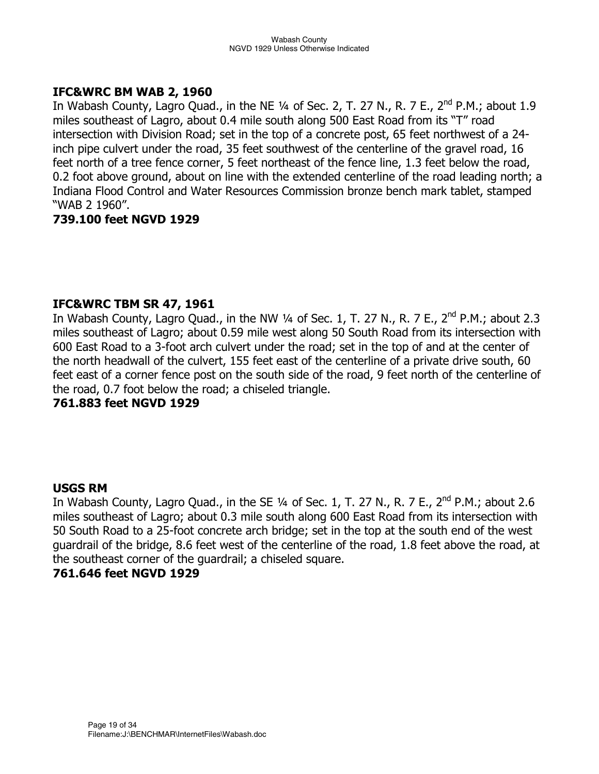#### **IFC&WRC BM WAB 2, 1960**

In Wabash County, Lagro Quad., in the NE  $\frac{1}{4}$  of Sec. 2, T. 27 N., R. 7 E., 2<sup>nd</sup> P.M.; about 1.9 miles southeast of Lagro, about 0.4 mile south along 500 East Road from its "T" road intersection with Division Road; set in the top of a concrete post, 65 feet northwest of a 24 inch pipe culvert under the road, 35 feet southwest of the centerline of the gravel road, 16 feet north of a tree fence corner, 5 feet northeast of the fence line, 1.3 feet below the road, 0.2 foot above ground, about on line with the extended centerline of the road leading north; a Indiana Flood Control and Water Resources Commission bronze bench mark tablet, stamped "WAB 2 1960".

## **739.100 feet NGVD 1929**

## **IFC&WRC TBM SR 47, 1961**

In Wabash County, Lagro Quad., in the NW  $\frac{1}{4}$  of Sec. 1, T. 27 N., R. 7 E., 2<sup>nd</sup> P.M.; about 2.3 miles southeast of Lagro; about 0.59 mile west along 50 South Road from its intersection with 600 East Road to a 3-foot arch culvert under the road; set in the top of and at the center of the north headwall of the culvert, 155 feet east of the centerline of a private drive south, 60 feet east of a corner fence post on the south side of the road, 9 feet north of the centerline of the road, 0.7 foot below the road; a chiseled triangle.

#### **761.883 feet NGVD 1929**

## **USGS RM**

In Wabash County, Lagro Quad., in the SE  $\frac{1}{4}$  of Sec. 1, T. 27 N., R. 7 E., 2<sup>nd</sup> P.M.; about 2.6 miles southeast of Lagro; about 0.3 mile south along 600 East Road from its intersection with 50 South Road to a 25-foot concrete arch bridge; set in the top at the south end of the west guardrail of the bridge, 8.6 feet west of the centerline of the road, 1.8 feet above the road, at the southeast corner of the guardrail; a chiseled square.

## **761.646 feet NGVD 1929**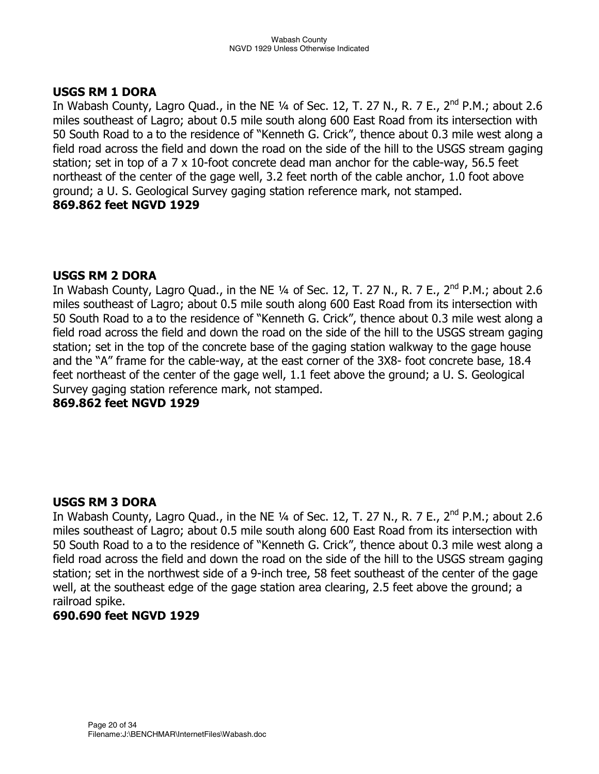## **USGS RM 1 DORA**

In Wabash County, Lagro Quad., in the NE  $\frac{1}{4}$  of Sec. 12, T. 27 N., R. 7 E., 2<sup>nd</sup> P.M.; about 2.6 miles southeast of Lagro; about 0.5 mile south along 600 East Road from its intersection with 50 South Road to a to the residence of "Kenneth G. Crick", thence about 0.3 mile west along a field road across the field and down the road on the side of the hill to the USGS stream gaging station; set in top of a 7 x 10-foot concrete dead man anchor for the cable-way, 56.5 feet northeast of the center of the gage well, 3.2 feet north of the cable anchor, 1.0 foot above ground; a U. S. Geological Survey gaging station reference mark, not stamped. **869.862 feet NGVD 1929** 

## **USGS RM 2 DORA**

In Wabash County, Lagro Quad., in the NE  $\frac{1}{4}$  of Sec. 12, T. 27 N., R. 7 E., 2<sup>nd</sup> P.M.; about 2.6 miles southeast of Lagro; about 0.5 mile south along 600 East Road from its intersection with 50 South Road to a to the residence of "Kenneth G. Crick", thence about 0.3 mile west along a field road across the field and down the road on the side of the hill to the USGS stream gaging station; set in the top of the concrete base of the gaging station walkway to the gage house and the "A" frame for the cable-way, at the east corner of the 3X8- foot concrete base, 18.4 feet northeast of the center of the gage well, 1.1 feet above the ground; a U. S. Geological Survey gaging station reference mark, not stamped.

**869.862 feet NGVD 1929** 

## **USGS RM 3 DORA**

In Wabash County, Lagro Quad., in the NE  $\frac{1}{4}$  of Sec. 12, T. 27 N., R. 7 E., 2<sup>nd</sup> P.M.; about 2.6 miles southeast of Lagro; about 0.5 mile south along 600 East Road from its intersection with 50 South Road to a to the residence of "Kenneth G. Crick", thence about 0.3 mile west along a field road across the field and down the road on the side of the hill to the USGS stream gaging station; set in the northwest side of a 9-inch tree, 58 feet southeast of the center of the gage well, at the southeast edge of the gage station area clearing, 2.5 feet above the ground; a railroad spike.

#### **690.690 feet NGVD 1929**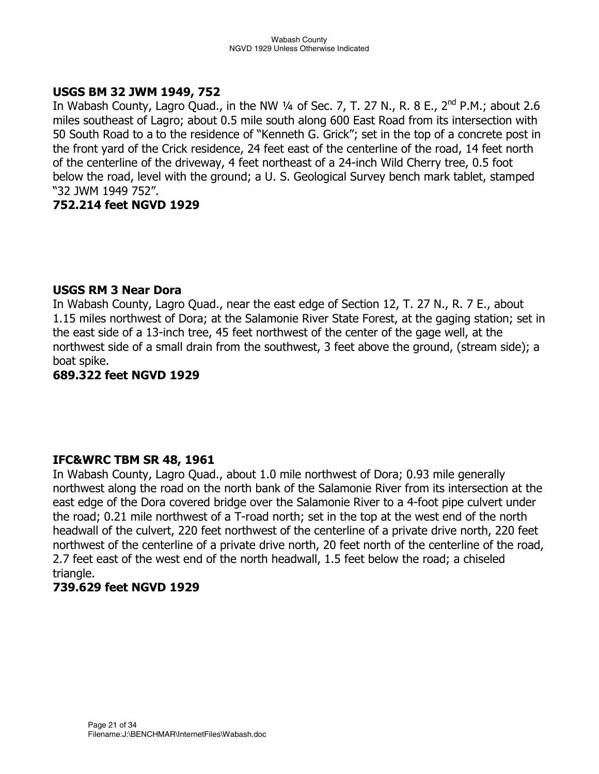## **USGS BM 32 JWM 1949, 752**

In Wabash County, Lagro Quad., in the NW 1/4 of Sec. 7, T. 27 N., R. 8 E., 2<sup>nd</sup> P.M.; about 2.6 miles southeast of Lagro; about 0.5 mile south along 600 East Road from its intersection with 50 South Road to a to the residence of "Kenneth G. Grick"; set in the top of a concrete post in the front yard of the Crick residence, 24 feet east of the centerline of the road, 14 feet north of the centerline of the driveway, 4 feet northeast of a 24-inch Wild Cherry tree, 0.5 foot below the road, level with the ground; a U. S. Geological Survey bench mark tablet, stamped "32 JWM 1949 752".

## **752.214 feet NGVD 1929**

#### **USGS RM 3 Near Dora**

In Wabash County, Lagro Quad., near the east edge of Section 12, T. 27 N., R. 7 E., about 1.15 miles northwest of Dora; at the Salamonie River State Forest, at the gaging station; set in the east side of a 13-inch tree, 45 feet northwest of the center of the gage well, at the northwest side of a small drain from the southwest, 3 feet above the ground, (stream side); a boat spike.

**689.322 feet NGVD 1929** 

## **IFC&WRC TBM SR 48, 1961**

In Wabash County, Lagro Quad., about 1.0 mile northwest of Dora; 0.93 mile generally northwest along the road on the north bank of the Salamonie River from its intersection at the east edge of the Dora covered bridge over the Salamonie River to a 4-foot pipe culvert under the road; 0.21 mile northwest of a T-road north; set in the top at the west end of the north headwall of the culvert, 220 feet northwest of the centerline of a private drive north, 220 feet northwest of the centerline of a private drive north, 20 feet north of the centerline of the road, 2.7 feet east of the west end of the north headwall, 1.5 feet below the road; a chiseled triangle.

## **739.629 feet NGVD 1929**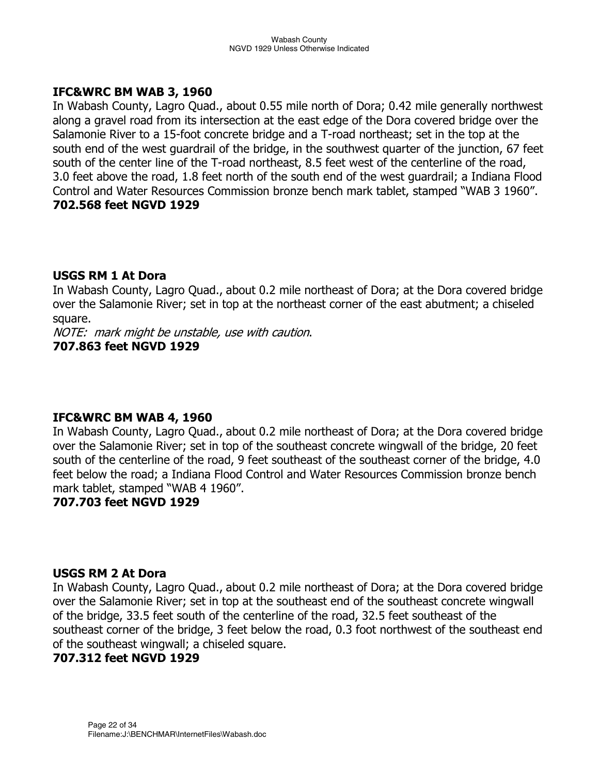#### **IFC&WRC BM WAB 3, 1960**

In Wabash County, Lagro Quad., about 0.55 mile north of Dora; 0.42 mile generally northwest along a gravel road from its intersection at the east edge of the Dora covered bridge over the Salamonie River to a 15-foot concrete bridge and a T-road northeast; set in the top at the south end of the west guardrail of the bridge, in the southwest quarter of the junction, 67 feet south of the center line of the T-road northeast, 8.5 feet west of the centerline of the road, 3.0 feet above the road, 1.8 feet north of the south end of the west guardrail; a Indiana Flood Control and Water Resources Commission bronze bench mark tablet, stamped "WAB 3 1960". **702.568 feet NGVD 1929** 

## **USGS RM 1 At Dora**

In Wabash County, Lagro Quad., about 0.2 mile northeast of Dora; at the Dora covered bridge over the Salamonie River; set in top at the northeast corner of the east abutment; a chiseled square.

NOTE: mark might be unstable, use with caution. **707.863 feet NGVD 1929** 

## **IFC&WRC BM WAB 4, 1960**

In Wabash County, Lagro Quad., about 0.2 mile northeast of Dora; at the Dora covered bridge over the Salamonie River; set in top of the southeast concrete wingwall of the bridge, 20 feet south of the centerline of the road, 9 feet southeast of the southeast corner of the bridge, 4.0 feet below the road; a Indiana Flood Control and Water Resources Commission bronze bench mark tablet, stamped "WAB 4 1960".

## **707.703 feet NGVD 1929**

#### **USGS RM 2 At Dora**

In Wabash County, Lagro Quad., about 0.2 mile northeast of Dora; at the Dora covered bridge over the Salamonie River; set in top at the southeast end of the southeast concrete wingwall of the bridge, 33.5 feet south of the centerline of the road, 32.5 feet southeast of the southeast corner of the bridge, 3 feet below the road, 0.3 foot northwest of the southeast end of the southeast wingwall; a chiseled square.

## **707.312 feet NGVD 1929**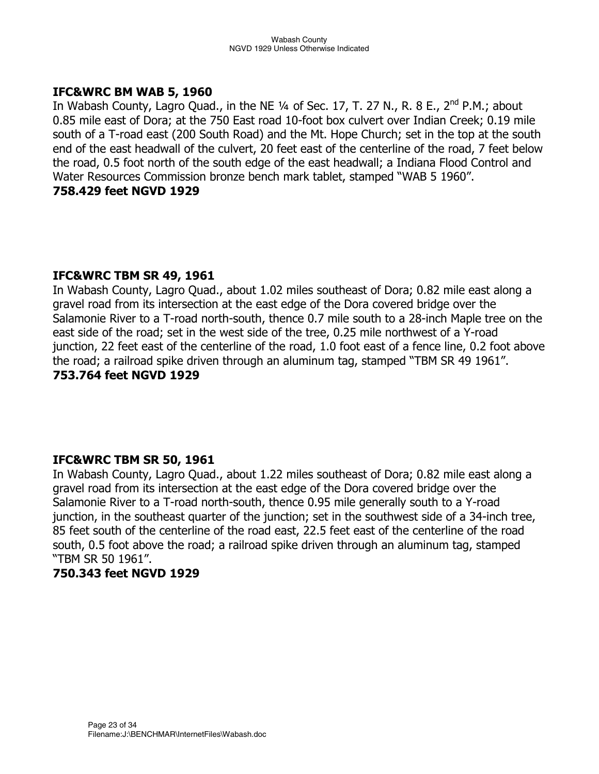#### **IFC&WRC BM WAB 5, 1960**

In Wabash County, Lagro Quad., in the NE 1/4 of Sec. 17, T. 27 N., R. 8 E., 2<sup>nd</sup> P.M.; about 0.85 mile east of Dora; at the 750 East road 10-foot box culvert over Indian Creek; 0.19 mile south of a T-road east (200 South Road) and the Mt. Hope Church; set in the top at the south end of the east headwall of the culvert, 20 feet east of the centerline of the road, 7 feet below the road, 0.5 foot north of the south edge of the east headwall; a Indiana Flood Control and Water Resources Commission bronze bench mark tablet, stamped "WAB 5 1960". **758.429 feet NGVD 1929** 

## **IFC&WRC TBM SR 49, 1961**

In Wabash County, Lagro Quad., about 1.02 miles southeast of Dora; 0.82 mile east along a gravel road from its intersection at the east edge of the Dora covered bridge over the Salamonie River to a T-road north-south, thence 0.7 mile south to a 28-inch Maple tree on the east side of the road; set in the west side of the tree, 0.25 mile northwest of a Y-road junction, 22 feet east of the centerline of the road, 1.0 foot east of a fence line, 0.2 foot above the road; a railroad spike driven through an aluminum tag, stamped "TBM SR 49 1961". **753.764 feet NGVD 1929** 

#### **IFC&WRC TBM SR 50, 1961**

In Wabash County, Lagro Quad., about 1.22 miles southeast of Dora; 0.82 mile east along a gravel road from its intersection at the east edge of the Dora covered bridge over the Salamonie River to a T-road north-south, thence 0.95 mile generally south to a Y-road junction, in the southeast quarter of the junction; set in the southwest side of a 34-inch tree, 85 feet south of the centerline of the road east, 22.5 feet east of the centerline of the road south, 0.5 foot above the road; a railroad spike driven through an aluminum tag, stamped "TBM SR 50 1961".

## **750.343 feet NGVD 1929**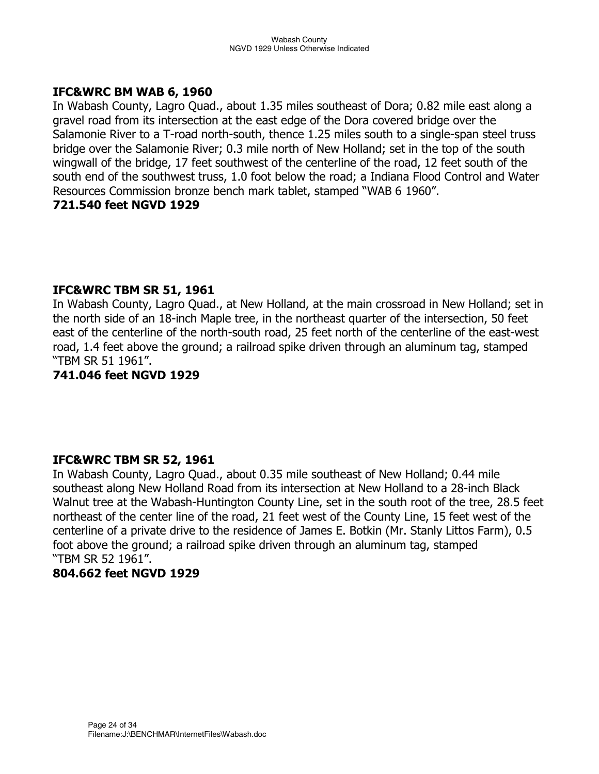## **IFC&WRC BM WAB 6, 1960**

In Wabash County, Lagro Quad., about 1.35 miles southeast of Dora; 0.82 mile east along a gravel road from its intersection at the east edge of the Dora covered bridge over the Salamonie River to a T-road north-south, thence 1.25 miles south to a single-span steel truss bridge over the Salamonie River; 0.3 mile north of New Holland; set in the top of the south wingwall of the bridge, 17 feet southwest of the centerline of the road, 12 feet south of the south end of the southwest truss, 1.0 foot below the road; a Indiana Flood Control and Water Resources Commission bronze bench mark tablet, stamped "WAB 6 1960". **721.540 feet NGVD 1929** 

## **IFC&WRC TBM SR 51, 1961**

In Wabash County, Lagro Quad., at New Holland, at the main crossroad in New Holland; set in the north side of an 18-inch Maple tree, in the northeast quarter of the intersection, 50 feet east of the centerline of the north-south road, 25 feet north of the centerline of the east-west road, 1.4 feet above the ground; a railroad spike driven through an aluminum tag, stamped "TBM SR 51 1961".

#### **741.046 feet NGVD 1929**

#### **IFC&WRC TBM SR 52, 1961**

In Wabash County, Lagro Quad., about 0.35 mile southeast of New Holland; 0.44 mile southeast along New Holland Road from its intersection at New Holland to a 28-inch Black Walnut tree at the Wabash-Huntington County Line, set in the south root of the tree, 28.5 feet northeast of the center line of the road, 21 feet west of the County Line, 15 feet west of the centerline of a private drive to the residence of James E. Botkin (Mr. Stanly Littos Farm), 0.5 foot above the ground; a railroad spike driven through an aluminum tag, stamped "TBM SR 52 1961".

#### **804.662 feet NGVD 1929**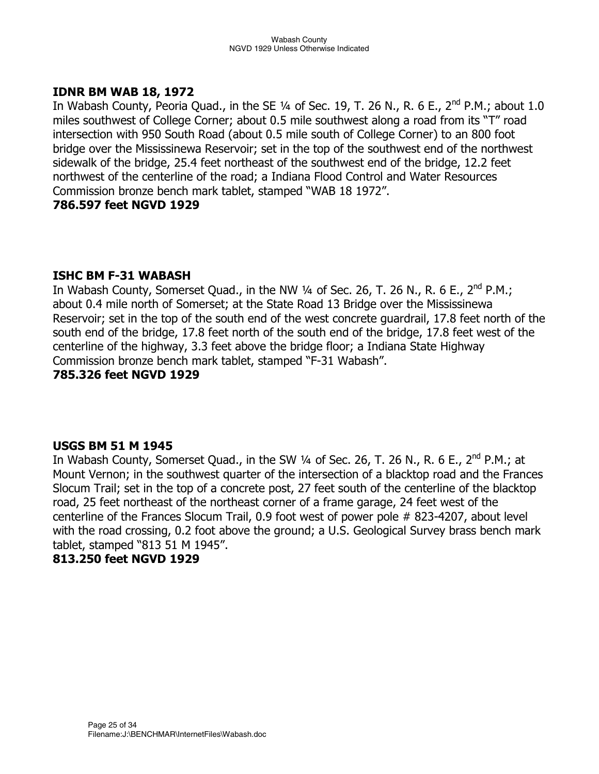## **IDNR BM WAB 18, 1972**

In Wabash County, Peoria Quad., in the SE  $\frac{1}{4}$  of Sec. 19, T. 26 N., R. 6 E., 2<sup>nd</sup> P.M.; about 1.0 miles southwest of College Corner; about 0.5 mile southwest along a road from its "T" road intersection with 950 South Road (about 0.5 mile south of College Corner) to an 800 foot bridge over the Mississinewa Reservoir; set in the top of the southwest end of the northwest sidewalk of the bridge, 25.4 feet northeast of the southwest end of the bridge, 12.2 feet northwest of the centerline of the road; a Indiana Flood Control and Water Resources Commission bronze bench mark tablet, stamped "WAB 18 1972".

#### **786.597 feet NGVD 1929**

## **ISHC BM F-31 WABASH**

In Wabash County, Somerset Quad., in the NW  $\frac{1}{4}$  of Sec. 26, T. 26 N., R. 6 E., 2<sup>nd</sup> P.M.; about 0.4 mile north of Somerset; at the State Road 13 Bridge over the Mississinewa Reservoir; set in the top of the south end of the west concrete guardrail, 17.8 feet north of the south end of the bridge, 17.8 feet north of the south end of the bridge, 17.8 feet west of the centerline of the highway, 3.3 feet above the bridge floor; a Indiana State Highway Commission bronze bench mark tablet, stamped "F-31 Wabash".

#### **785.326 feet NGVD 1929**

#### **USGS BM 51 M 1945**

In Wabash County, Somerset Quad., in the SW  $\frac{1}{4}$  of Sec. 26, T. 26 N., R. 6 E., 2<sup>nd</sup> P.M.; at Mount Vernon; in the southwest quarter of the intersection of a blacktop road and the Frances Slocum Trail; set in the top of a concrete post, 27 feet south of the centerline of the blacktop road, 25 feet northeast of the northeast corner of a frame garage, 24 feet west of the centerline of the Frances Slocum Trail, 0.9 foot west of power pole # 823-4207, about level with the road crossing, 0.2 foot above the ground; a U.S. Geological Survey brass bench mark tablet, stamped "813 51 M 1945".

#### **813.250 feet NGVD 1929**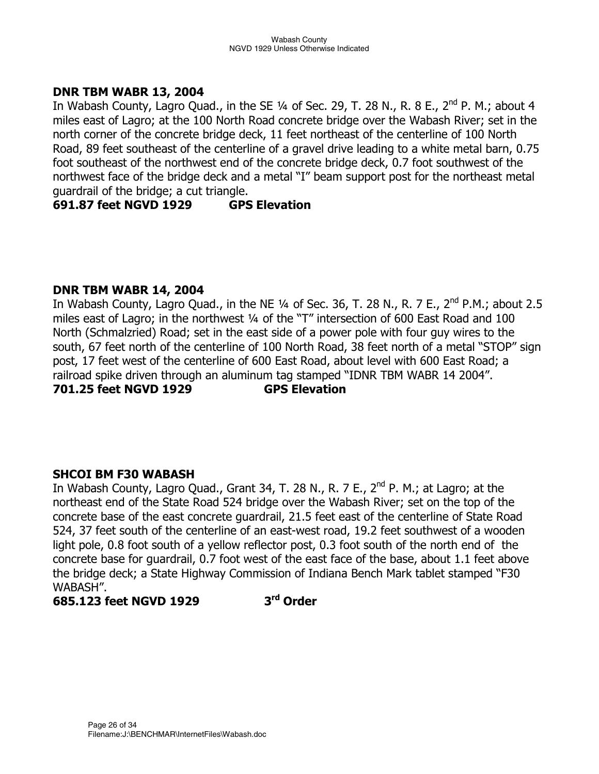## **DNR TBM WABR 13, 2004**

In Wabash County, Lagro Quad., in the SE  $\frac{1}{4}$  of Sec. 29, T. 28 N., R. 8 E., 2<sup>nd</sup> P. M.; about 4 miles east of Lagro; at the 100 North Road concrete bridge over the Wabash River; set in the north corner of the concrete bridge deck, 11 feet northeast of the centerline of 100 North Road, 89 feet southeast of the centerline of a gravel drive leading to a white metal barn, 0.75 foot southeast of the northwest end of the concrete bridge deck, 0.7 foot southwest of the northwest face of the bridge deck and a metal "I" beam support post for the northeast metal guardrail of the bridge; a cut triangle.

## **691.87 feet NGVD 1929 GPS Elevation**

## **DNR TBM WABR 14, 2004**

In Wabash County, Lagro Quad., in the NE  $1/4$  of Sec. 36, T. 28 N., R. 7 E., 2<sup>nd</sup> P.M.; about 2.5 miles east of Lagro; in the northwest ¼ of the "T" intersection of 600 East Road and 100 North (Schmalzried) Road; set in the east side of a power pole with four guy wires to the south, 67 feet north of the centerline of 100 North Road, 38 feet north of a metal "STOP" sign post, 17 feet west of the centerline of 600 East Road, about level with 600 East Road; a railroad spike driven through an aluminum tag stamped "IDNR TBM WABR 14 2004". **701.25 feet NGVD 1929 GPS Elevation** 

#### **SHCOI BM F30 WABASH**

In Wabash County, Lagro Quad., Grant 34, T. 28 N., R. 7 E.,  $2^{nd}$  P. M.; at Lagro; at the northeast end of the State Road 524 bridge over the Wabash River; set on the top of the concrete base of the east concrete guardrail, 21.5 feet east of the centerline of State Road 524, 37 feet south of the centerline of an east-west road, 19.2 feet southwest of a wooden light pole, 0.8 foot south of a yellow reflector post, 0.3 foot south of the north end of the concrete base for guardrail, 0.7 foot west of the east face of the base, about 1.1 feet above the bridge deck; a State Highway Commission of Indiana Bench Mark tablet stamped "F30 WABASH".

## **685.123 feet NGVD 1929 3rd Order**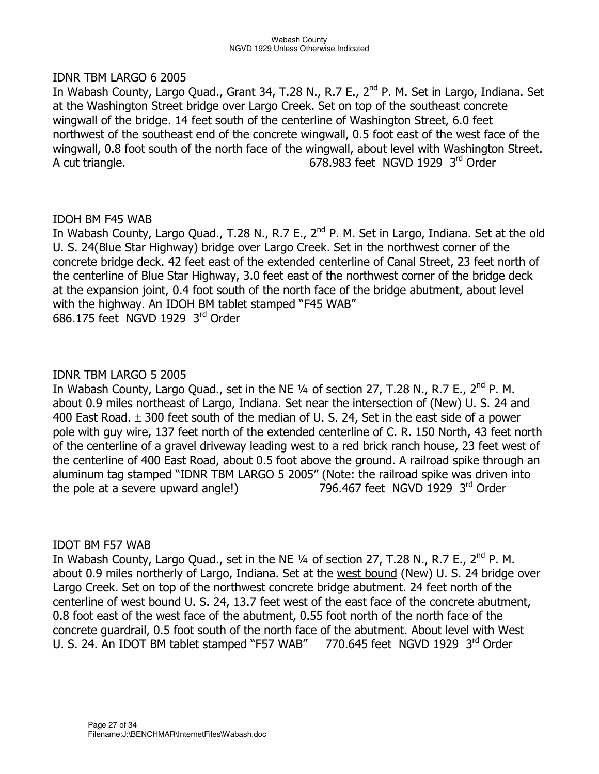#### IDNR TBM LARGO 6 2005

In Wabash County, Largo Quad., Grant 34, T.28 N., R.7 E., 2<sup>nd</sup> P. M. Set in Largo, Indiana. Set at the Washington Street bridge over Largo Creek. Set on top of the southeast concrete wingwall of the bridge. 14 feet south of the centerline of Washington Street, 6.0 feet northwest of the southeast end of the concrete wingwall, 0.5 foot east of the west face of the wingwall, 0.8 foot south of the north face of the wingwall, about level with Washington Street. A cut triangle. The contract of the GNS 983 feet NGVD 1929 3rd Order

## IDOH BM F45 WAB

In Wabash County, Largo Quad., T.28 N., R.7 E., 2<sup>nd</sup> P. M. Set in Largo, Indiana. Set at the old U. S. 24(Blue Star Highway) bridge over Largo Creek. Set in the northwest corner of the concrete bridge deck. 42 feet east of the extended centerline of Canal Street, 23 feet north of the centerline of Blue Star Highway, 3.0 feet east of the northwest corner of the bridge deck at the expansion joint, 0.4 foot south of the north face of the bridge abutment, about level with the highway. An IDOH BM tablet stamped "F45 WAB" 686.175 feet NGVD 1929 3rd Order

## IDNR TBM LARGO 5 2005

In Wabash County, Largo Quad., set in the NE 1/4 of section 27, T.28 N., R.7 E., 2<sup>nd</sup> P. M. about 0.9 miles northeast of Largo, Indiana. Set near the intersection of (New) U. S. 24 and 400 East Road.  $\pm$  300 feet south of the median of U. S. 24, Set in the east side of a power pole with guy wire, 137 feet north of the extended centerline of C. R. 150 North, 43 feet north of the centerline of a gravel driveway leading west to a red brick ranch house, 23 feet west of the centerline of 400 East Road, about 0.5 foot above the ground. A railroad spike through an aluminum tag stamped "IDNR TBM LARGO 5 2005" (Note: the railroad spike was driven into the pole at a severe upward angle!) 796.467 feet NGVD 1929 3rd Order

#### IDOT BM F57 WAB

In Wabash County, Largo Quad., set in the NE  $\frac{1}{4}$  of section 27, T.28 N., R.7 E., 2<sup>nd</sup> P. M. about 0.9 miles northerly of Largo, Indiana. Set at the west bound (New) U. S. 24 bridge over Largo Creek. Set on top of the northwest concrete bridge abutment. 24 feet north of the centerline of west bound U. S. 24, 13.7 feet west of the east face of the concrete abutment, 0.8 foot east of the west face of the abutment, 0.55 foot north of the north face of the concrete guardrail, 0.5 foot south of the north face of the abutment. About level with West U. S. 24. An IDOT BM tablet stamped "F57 WAB" 770.645 feet NGVD 1929 3rd Order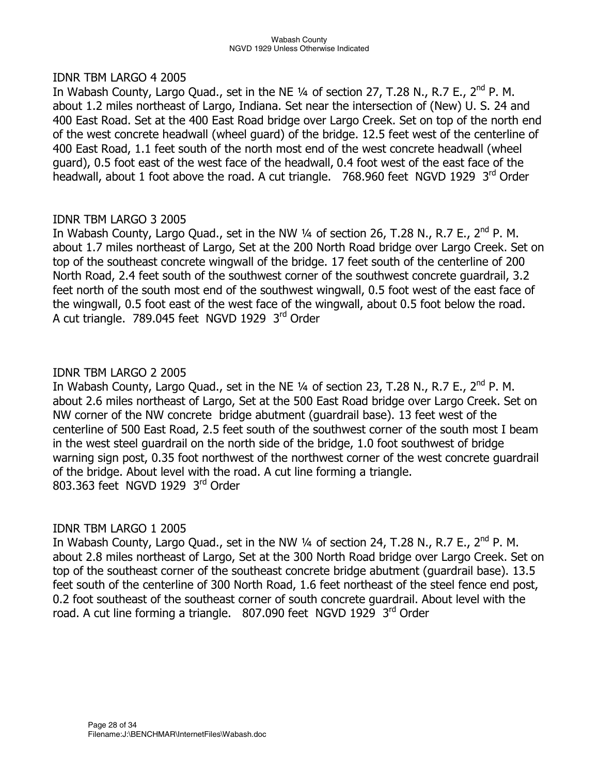#### IDNR TBM LARGO 4 2005

In Wabash County, Largo Quad., set in the NE 1/4 of section 27, T.28 N., R.7 E., 2<sup>nd</sup> P. M. about 1.2 miles northeast of Largo, Indiana. Set near the intersection of (New) U. S. 24 and 400 East Road. Set at the 400 East Road bridge over Largo Creek. Set on top of the north end of the west concrete headwall (wheel guard) of the bridge. 12.5 feet west of the centerline of 400 East Road, 1.1 feet south of the north most end of the west concrete headwall (wheel guard), 0.5 foot east of the west face of the headwall, 0.4 foot west of the east face of the headwall, about 1 foot above the road. A cut triangle. 768.960 feet NGVD 1929 3<sup>rd</sup> Order

## IDNR TBM LARGO 3 2005

In Wabash County, Largo Quad., set in the NW  $\frac{1}{4}$  of section 26, T.28 N., R.7 E., 2<sup>nd</sup> P. M. about 1.7 miles northeast of Largo, Set at the 200 North Road bridge over Largo Creek. Set on top of the southeast concrete wingwall of the bridge. 17 feet south of the centerline of 200 North Road, 2.4 feet south of the southwest corner of the southwest concrete guardrail, 3.2 feet north of the south most end of the southwest wingwall, 0.5 foot west of the east face of the wingwall, 0.5 foot east of the west face of the wingwall, about 0.5 foot below the road. A cut triangle. 789.045 feet NGVD 1929 3rd Order

## IDNR TBM LARGO 2 2005

In Wabash County, Largo Quad., set in the NE 1/4 of section 23, T.28 N., R.7 E., 2<sup>nd</sup> P. M. about 2.6 miles northeast of Largo, Set at the 500 East Road bridge over Largo Creek. Set on NW corner of the NW concrete bridge abutment (guardrail base). 13 feet west of the centerline of 500 East Road, 2.5 feet south of the southwest corner of the south most I beam in the west steel guardrail on the north side of the bridge, 1.0 foot southwest of bridge warning sign post, 0.35 foot northwest of the northwest corner of the west concrete guardrail of the bridge. About level with the road. A cut line forming a triangle. 803.363 feet NGVD 1929 3rd Order

## IDNR TBM LARGO 1 2005

In Wabash County, Largo Quad., set in the NW 1/4 of section 24, T.28 N., R.7 E., 2<sup>nd</sup> P. M. about 2.8 miles northeast of Largo, Set at the 300 North Road bridge over Largo Creek. Set on top of the southeast corner of the southeast concrete bridge abutment (guardrail base). 13.5 feet south of the centerline of 300 North Road, 1.6 feet northeast of the steel fence end post, 0.2 foot southeast of the southeast corner of south concrete guardrail. About level with the road. A cut line forming a triangle. 807.090 feet NGVD 1929 3<sup>rd</sup> Order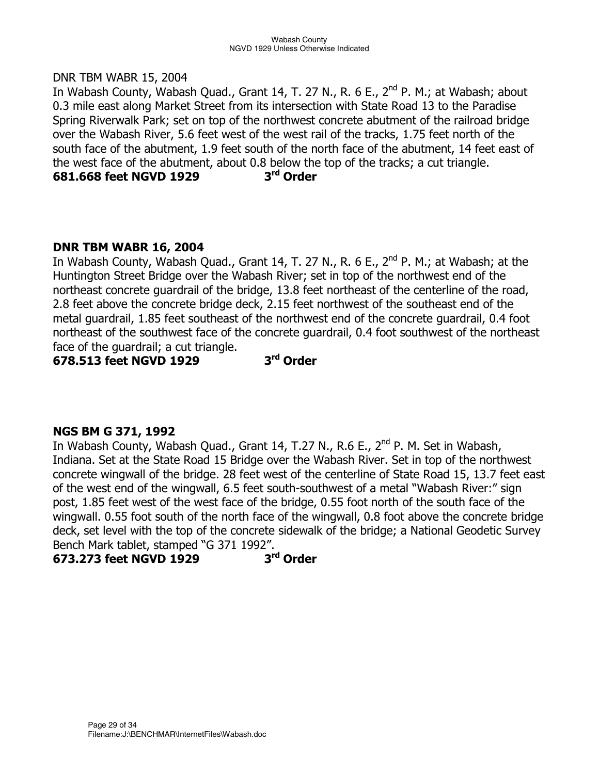#### DNR TBM WABR 15, 2004

In Wabash County, Wabash Quad., Grant 14, T. 27 N., R. 6 E., 2<sup>nd</sup> P. M.; at Wabash; about 0.3 mile east along Market Street from its intersection with State Road 13 to the Paradise Spring Riverwalk Park; set on top of the northwest concrete abutment of the railroad bridge over the Wabash River, 5.6 feet west of the west rail of the tracks, 1.75 feet north of the south face of the abutment, 1.9 feet south of the north face of the abutment, 14 feet east of the west face of the abutment, about 0.8 below the top of the tracks; a cut triangle. **681.668 feet NGVD 1929 3rd Order** 

## **DNR TBM WABR 16, 2004**

In Wabash County, Wabash Quad., Grant 14, T. 27 N., R. 6 E.,  $2^{nd}$  P. M.; at Wabash; at the Huntington Street Bridge over the Wabash River; set in top of the northwest end of the northeast concrete guardrail of the bridge, 13.8 feet northeast of the centerline of the road, 2.8 feet above the concrete bridge deck, 2.15 feet northwest of the southeast end of the metal guardrail, 1.85 feet southeast of the northwest end of the concrete guardrail, 0.4 foot northeast of the southwest face of the concrete guardrail, 0.4 foot southwest of the northeast face of the guardrail; a cut triangle.

**678.513 feet NGVD 1929 3rd Order** 

## **NGS BM G 371, 1992**

In Wabash County, Wabash Quad., Grant 14, T.27 N., R.6 E., 2<sup>nd</sup> P. M. Set in Wabash, Indiana. Set at the State Road 15 Bridge over the Wabash River. Set in top of the northwest concrete wingwall of the bridge. 28 feet west of the centerline of State Road 15, 13.7 feet east of the west end of the wingwall, 6.5 feet south-southwest of a metal "Wabash River:" sign post, 1.85 feet west of the west face of the bridge, 0.55 foot north of the south face of the wingwall. 0.55 foot south of the north face of the wingwall, 0.8 foot above the concrete bridge deck, set level with the top of the concrete sidewalk of the bridge; a National Geodetic Survey Bench Mark tablet, stamped "G 371 1992".

## **673.273 feet NGVD 1929 3rd Order**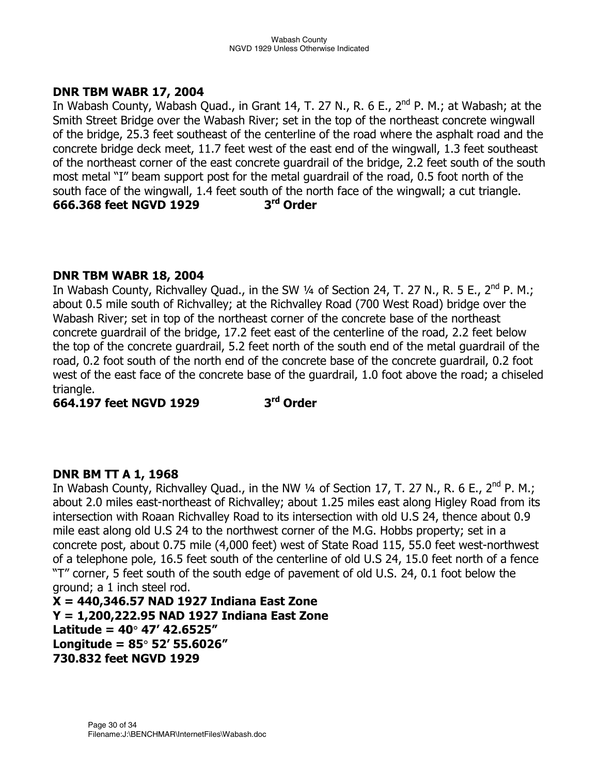## **DNR TBM WABR 17, 2004**

In Wabash County, Wabash Quad., in Grant 14, T. 27 N., R. 6 E.,  $2^{nd}$  P. M.; at Wabash; at the Smith Street Bridge over the Wabash River; set in the top of the northeast concrete wingwall of the bridge, 25.3 feet southeast of the centerline of the road where the asphalt road and the concrete bridge deck meet, 11.7 feet west of the east end of the wingwall, 1.3 feet southeast of the northeast corner of the east concrete guardrail of the bridge, 2.2 feet south of the south most metal "I" beam support post for the metal guardrail of the road, 0.5 foot north of the south face of the wingwall, 1.4 feet south of the north face of the wingwall; a cut triangle.<br>666.368 feet NGVD 1929  $3<sup>rd</sup>$  Order **666.368 feet NGVD 1929** 

## **DNR TBM WABR 18, 2004**

In Wabash County, Richvalley Quad., in the SW  $\frac{1}{4}$  of Section 24, T. 27 N., R. 5 E., 2<sup>nd</sup> P. M.; about 0.5 mile south of Richvalley; at the Richvalley Road (700 West Road) bridge over the Wabash River; set in top of the northeast corner of the concrete base of the northeast concrete guardrail of the bridge, 17.2 feet east of the centerline of the road, 2.2 feet below the top of the concrete guardrail, 5.2 feet north of the south end of the metal guardrail of the road, 0.2 foot south of the north end of the concrete base of the concrete guardrail, 0.2 foot west of the east face of the concrete base of the guardrail, 1.0 foot above the road; a chiseled triangle.

**664.197 feet NGVD 1929 3rd Order** 

## **DNR BM TT A 1, 1968**

In Wabash County, Richvalley Quad., in the NW 1/4 of Section 17, T. 27 N., R. 6 E., 2<sup>nd</sup> P. M.; about 2.0 miles east-northeast of Richvalley; about 1.25 miles east along Higley Road from its intersection with Roaan Richvalley Road to its intersection with old U.S 24, thence about 0.9 mile east along old U.S 24 to the northwest corner of the M.G. Hobbs property; set in a concrete post, about 0.75 mile (4,000 feet) west of State Road 115, 55.0 feet west-northwest of a telephone pole, 16.5 feet south of the centerline of old U.S 24, 15.0 feet north of a fence "T" corner, 5 feet south of the south edge of pavement of old U.S. 24, 0.1 foot below the ground; a 1 inch steel rod.

**X = 440,346.57 NAD 1927 Indiana East Zone Y = 1,200,222.95 NAD 1927 Indiana East Zone Latitude = 40**° **47' 42.6525" Longitude = 85**° **52' 55.6026" 730.832 feet NGVD 1929**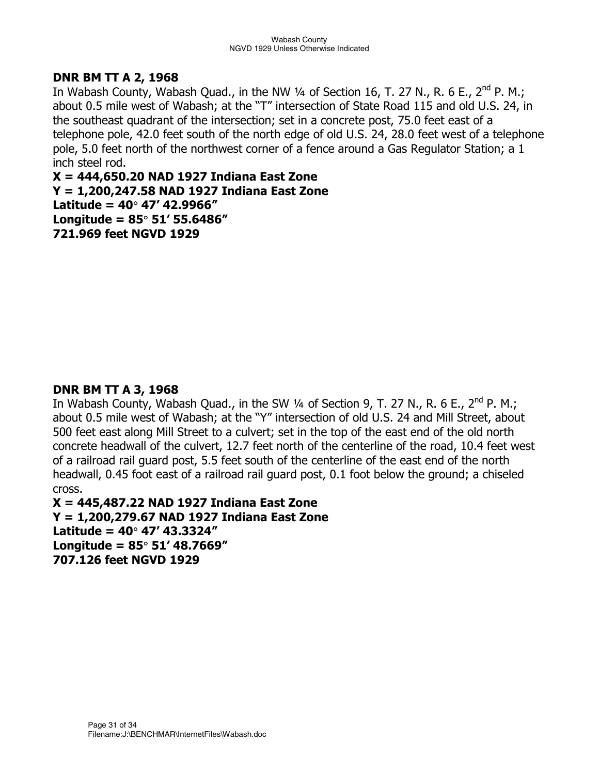## **DNR BM TT A 2, 1968**

In Wabash County, Wabash Quad., in the NW 1/4 of Section 16, T. 27 N., R. 6 E., 2<sup>nd</sup> P. M.; about 0.5 mile west of Wabash; at the "T" intersection of State Road 115 and old U.S. 24, in the southeast quadrant of the intersection; set in a concrete post, 75.0 feet east of a telephone pole, 42.0 feet south of the north edge of old U.S. 24, 28.0 feet west of a telephone pole, 5.0 feet north of the northwest corner of a fence around a Gas Regulator Station; a 1 inch steel rod.

**X = 444,650.20 NAD 1927 Indiana East Zone Y = 1,200,247.58 NAD 1927 Indiana East Zone Latitude = 40**° **47' 42.9966" Longitude = 85**° **51' 55.6486" 721.969 feet NGVD 1929** 

## **DNR BM TT A 3, 1968**

In Wabash County, Wabash Quad., in the SW  $\frac{1}{4}$  of Section 9, T. 27 N., R. 6 E., 2<sup>nd</sup> P. M.; about 0.5 mile west of Wabash; at the "Y" intersection of old U.S. 24 and Mill Street, about 500 feet east along Mill Street to a culvert; set in the top of the east end of the old north concrete headwall of the culvert, 12.7 feet north of the centerline of the road, 10.4 feet west of a railroad rail guard post, 5.5 feet south of the centerline of the east end of the north headwall, 0.45 foot east of a railroad rail guard post, 0.1 foot below the ground; a chiseled cross.

**X = 445,487.22 NAD 1927 Indiana East Zone Y = 1,200,279.67 NAD 1927 Indiana East Zone Latitude = 40**° **47' 43.3324" Longitude = 85**° **51' 48.7669" 707.126 feet NGVD 1929**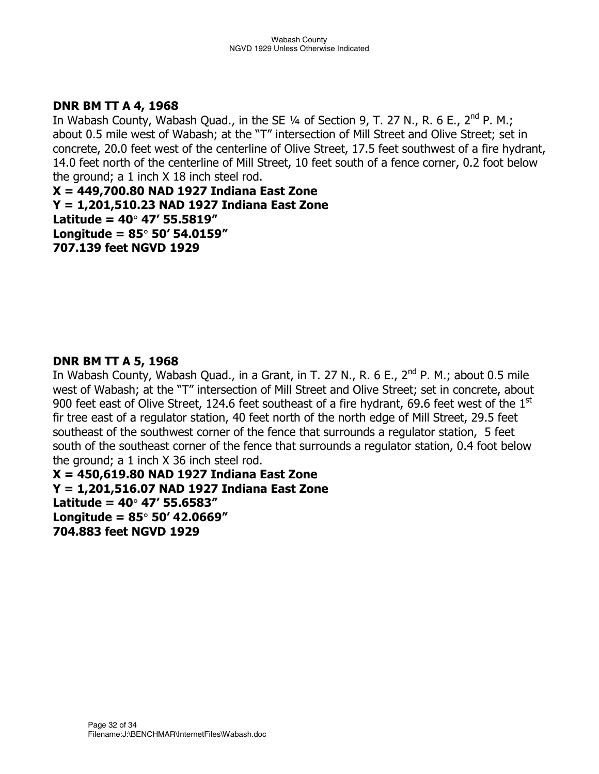## **DNR BM TT A 4, 1968**

In Wabash County, Wabash Quad., in the SE  $\frac{1}{4}$  of Section 9, T. 27 N., R. 6 E., 2<sup>nd</sup> P. M.; about 0.5 mile west of Wabash; at the "T" intersection of Mill Street and Olive Street; set in concrete, 20.0 feet west of the centerline of Olive Street, 17.5 feet southwest of a fire hydrant, 14.0 feet north of the centerline of Mill Street, 10 feet south of a fence corner, 0.2 foot below the ground; a 1 inch X 18 inch steel rod.

**X = 449,700.80 NAD 1927 Indiana East Zone Y = 1,201,510.23 NAD 1927 Indiana East Zone Latitude = 40**° **47' 55.5819" Longitude = 85**° **50' 54.0159" 707.139 feet NGVD 1929** 

## **DNR BM TT A 5, 1968**

In Wabash County, Wabash Quad., in a Grant, in T. 27 N., R. 6 E.,  $2^{nd}$  P. M.; about 0.5 mile west of Wabash; at the "T" intersection of Mill Street and Olive Street; set in concrete, about 900 feet east of Olive Street, 124.6 feet southeast of a fire hydrant, 69.6 feet west of the  $1<sup>st</sup>$ fir tree east of a regulator station, 40 feet north of the north edge of Mill Street, 29.5 feet southeast of the southwest corner of the fence that surrounds a regulator station, 5 feet south of the southeast corner of the fence that surrounds a regulator station, 0.4 foot below the ground; a 1 inch X 36 inch steel rod.

**X = 450,619.80 NAD 1927 Indiana East Zone Y = 1,201,516.07 NAD 1927 Indiana East Zone Latitude = 40**° **47' 55.6583" Longitude = 85**° **50' 42.0669" 704.883 feet NGVD 1929**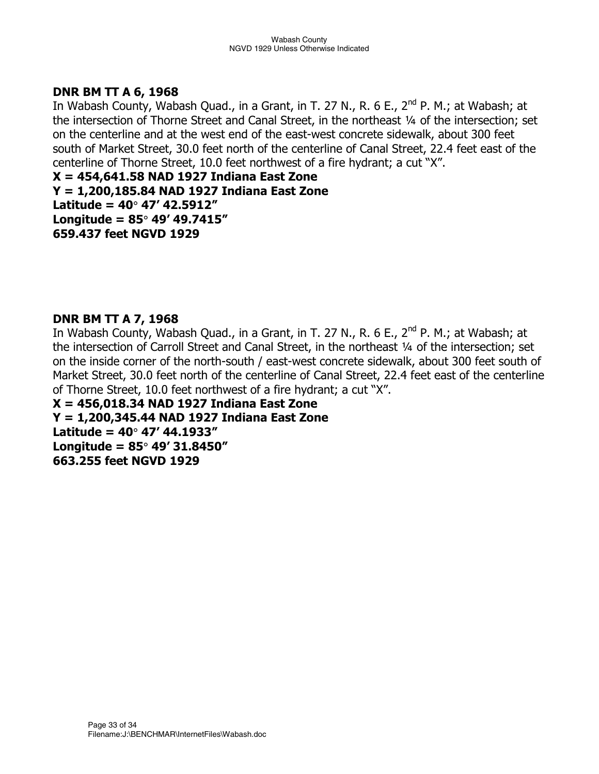## **DNR BM TT A 6, 1968**

In Wabash County, Wabash Quad., in a Grant, in T. 27 N., R. 6 E., 2<sup>nd</sup> P. M.; at Wabash; at the intersection of Thorne Street and Canal Street, in the northeast 1/4 of the intersection; set on the centerline and at the west end of the east-west concrete sidewalk, about 300 feet south of Market Street, 30.0 feet north of the centerline of Canal Street, 22.4 feet east of the centerline of Thorne Street, 10.0 feet northwest of a fire hydrant; a cut "X".

**X = 454,641.58 NAD 1927 Indiana East Zone Y = 1,200,185.84 NAD 1927 Indiana East Zone Latitude = 40**° **47' 42.5912" Longitude = 85**° **49' 49.7415" 659.437 feet NGVD 1929** 

## **DNR BM TT A 7, 1968**

In Wabash County, Wabash Quad., in a Grant, in T. 27 N., R. 6 E.,  $2^{nd}$  P. M.; at Wabash; at the intersection of Carroll Street and Canal Street, in the northeast 1/4 of the intersection; set on the inside corner of the north-south / east-west concrete sidewalk, about 300 feet south of Market Street, 30.0 feet north of the centerline of Canal Street, 22.4 feet east of the centerline of Thorne Street, 10.0 feet northwest of a fire hydrant; a cut "X".

**X = 456,018.34 NAD 1927 Indiana East Zone Y = 1,200,345.44 NAD 1927 Indiana East Zone Latitude = 40**° **47' 44.1933" Longitude = 85**° **49' 31.8450" 663.255 feet NGVD 1929**